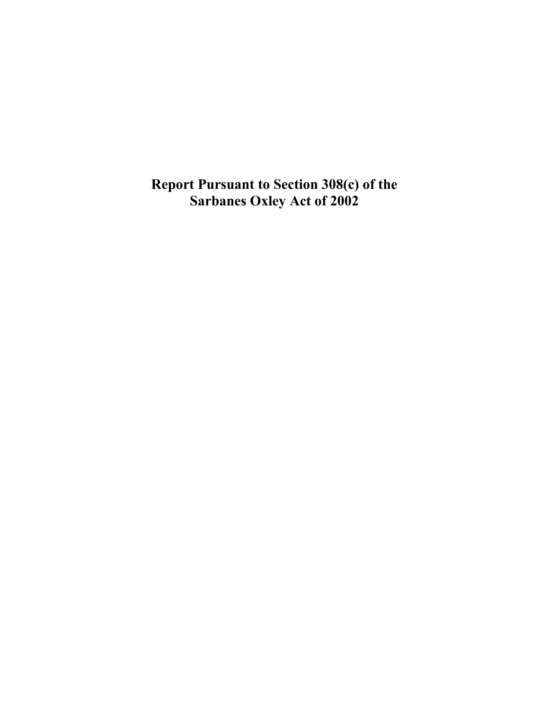**Report Pursuant to Section 308(c) of the Sarbanes Oxley Act of 2002**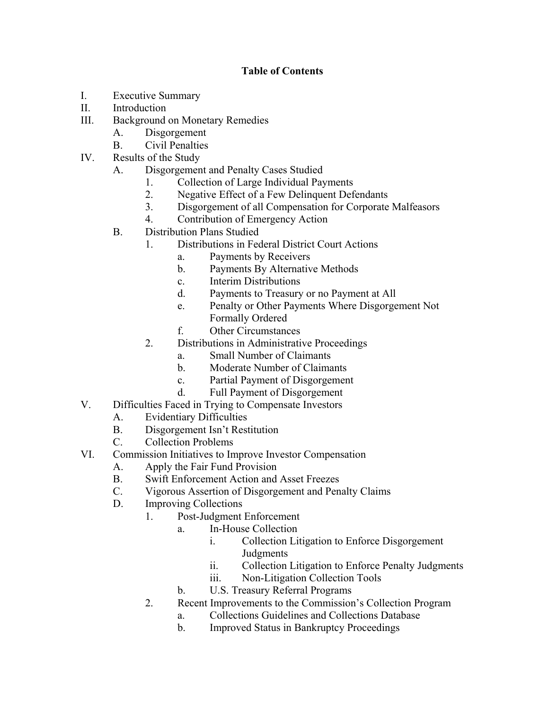# **Table of Contents**

- I. Executive Summary
- II. Introduction
- III. Background on Monetary Remedies
	- A. Disgorgement
	- B. Civil Penalties
- IV. Results of the Study
	- A. Disgorgement and Penalty Cases Studied
		- 1. Collection of Large Individual Payments
		- 2. Negative Effect of a Few Delinquent Defendants
		- 3. Disgorgement of all Compensation for Corporate Malfeasors
		- 4. Contribution of Emergency Action
	- B. Distribution Plans Studied
		- 1. Distributions in Federal District Court Actions
			- a. Payments by Receivers
			- b. Payments By Alternative Methods
			- c. Interim Distributions
			- d. Payments to Treasury or no Payment at All
			- e. Penalty or Other Payments Where Disgorgement Not Formally Ordered
			- f. Other Circumstances
		- 2. Distributions in Administrative Proceedings
			- a. Small Number of Claimants
			- b. Moderate Number of Claimants
			- c. Partial Payment of Disgorgement
			- d. Full Payment of Disgorgement
- V. Difficulties Faced in Trying to Compensate Investors
	- A. Evidentiary Difficulties
	- B. Disgorgement Isn't Restitution
	- C. Collection Problems
- VI. Commission Initiatives to Improve Investor Compensation
	- A. Apply the Fair Fund Provision
	- B. Swift Enforcement Action and Asset Freezes
	- C. Vigorous Assertion of Disgorgement and Penalty Claims
	- D. Improving Collections
		- 1. Post-Judgment Enforcement
			- a. In-House Collection
				- i. Collection Litigation to Enforce Disgorgement Judgments
				- ii. Collection Litigation to Enforce Penalty Judgments
				- iii. Non-Litigation Collection Tools
			- b. U.S. Treasury Referral Programs
		- 2. Recent Improvements to the Commission's Collection Program
			- a. Collections Guidelines and Collections Database
			- b. Improved Status in Bankruptcy Proceedings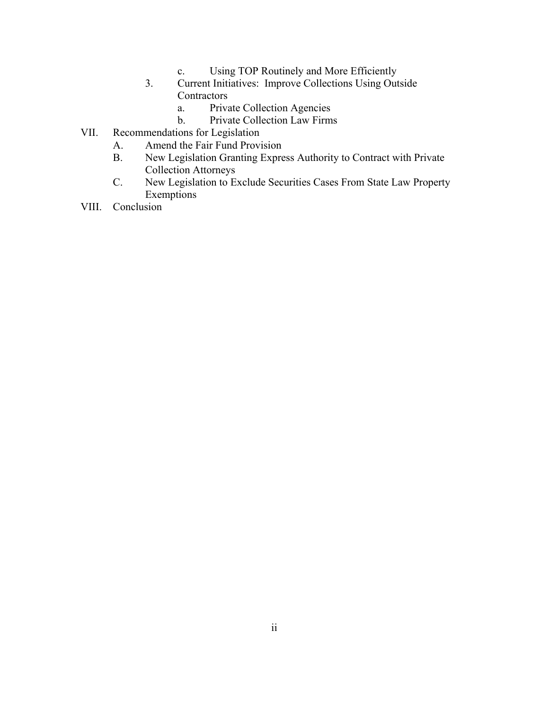- c. Using TOP Routinely and More Efficiently
- 3. Current Initiatives: Improve Collections Using Outside **Contractors** 
	- a. Private Collection Agencies
	- b. Private Collection Law Firms
- VII. Recommendations for Legislation
	- A. Amend the Fair Fund Provision
	- B. New Legislation Granting Express Authority to Contract with Private Collection Attorneys
	- C. New Legislation to Exclude Securities Cases From State Law Property Exemptions
- VIII. Conclusion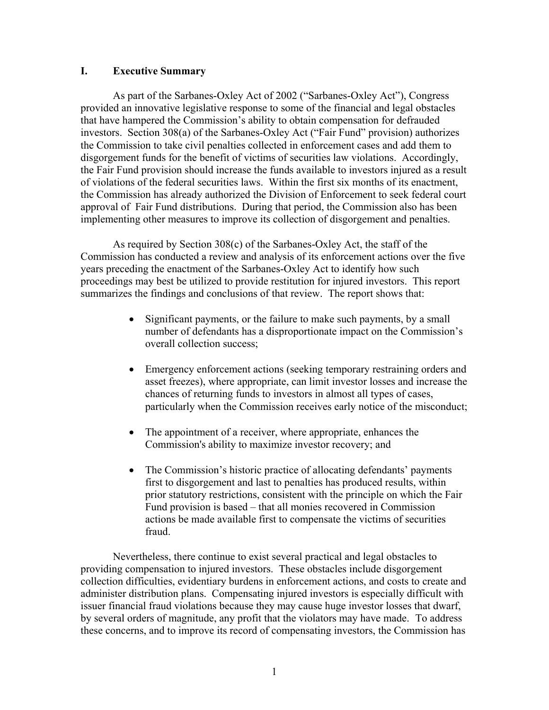## **I. Executive Summary**

As part of the Sarbanes-Oxley Act of 2002 ("Sarbanes-Oxley Act"), Congress provided an innovative legislative response to some of the financial and legal obstacles that have hampered the Commission's ability to obtain compensation for defrauded investors. Section 308(a) of the Sarbanes-Oxley Act ("Fair Fund" provision) authorizes the Commission to take civil penalties collected in enforcement cases and add them to disgorgement funds for the benefit of victims of securities law violations. Accordingly, the Fair Fund provision should increase the funds available to investors injured as a result of violations of the federal securities laws. Within the first six months of its enactment, the Commission has already authorized the Division of Enforcement to seek federal court approval of Fair Fund distributions. During that period, the Commission also has been implementing other measures to improve its collection of disgorgement and penalties.

As required by Section 308(c) of the Sarbanes-Oxley Act, the staff of the Commission has conducted a review and analysis of its enforcement actions over the five years preceding the enactment of the Sarbanes-Oxley Act to identify how such proceedings may best be utilized to provide restitution for injured investors. This report summarizes the findings and conclusions of that review. The report shows that:

- Significant payments, or the failure to make such payments, by a small number of defendants has a disproportionate impact on the Commission's overall collection success;
- Emergency enforcement actions (seeking temporary restraining orders and asset freezes), where appropriate, can limit investor losses and increase the chances of returning funds to investors in almost all types of cases, particularly when the Commission receives early notice of the misconduct;
- The appointment of a receiver, where appropriate, enhances the Commission's ability to maximize investor recovery; and
- The Commission's historic practice of allocating defendants' payments first to disgorgement and last to penalties has produced results, within prior statutory restrictions, consistent with the principle on which the Fair Fund provision is based – that all monies recovered in Commission actions be made available first to compensate the victims of securities fraud.

Nevertheless, there continue to exist several practical and legal obstacles to providing compensation to injured investors. These obstacles include disgorgement collection difficulties, evidentiary burdens in enforcement actions, and costs to create and administer distribution plans. Compensating injured investors is especially difficult with issuer financial fraud violations because they may cause huge investor losses that dwarf, by several orders of magnitude, any profit that the violators may have made. To address these concerns, and to improve its record of compensating investors, the Commission has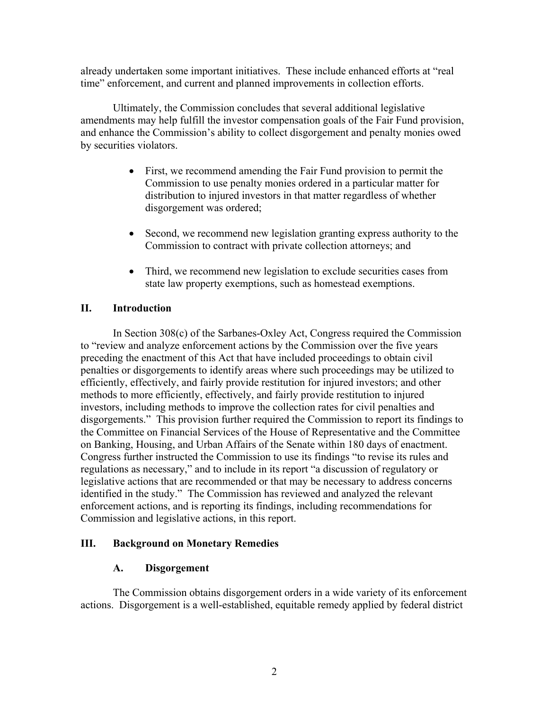already undertaken some important initiatives. These include enhanced efforts at "real time" enforcement, and current and planned improvements in collection efforts.

Ultimately, the Commission concludes that several additional legislative amendments may help fulfill the investor compensation goals of the Fair Fund provision, and enhance the Commission's ability to collect disgorgement and penalty monies owed by securities violators.

- First, we recommend amending the Fair Fund provision to permit the Commission to use penalty monies ordered in a particular matter for distribution to injured investors in that matter regardless of whether disgorgement was ordered;
- Second, we recommend new legislation granting express authority to the Commission to contract with private collection attorneys; and
- Third, we recommend new legislation to exclude securities cases from state law property exemptions, such as homestead exemptions.

# **II. Introduction**

 In Section 308(c) of the Sarbanes-Oxley Act, Congress required the Commission to "review and analyze enforcement actions by the Commission over the five years preceding the enactment of this Act that have included proceedings to obtain civil penalties or disgorgements to identify areas where such proceedings may be utilized to efficiently, effectively, and fairly provide restitution for injured investors; and other methods to more efficiently, effectively, and fairly provide restitution to injured investors, including methods to improve the collection rates for civil penalties and disgorgements." This provision further required the Commission to report its findings to the Committee on Financial Services of the House of Representative and the Committee on Banking, Housing, and Urban Affairs of the Senate within 180 days of enactment. Congress further instructed the Commission to use its findings "to revise its rules and regulations as necessary," and to include in its report "a discussion of regulatory or legislative actions that are recommended or that may be necessary to address concerns identified in the study." The Commission has reviewed and analyzed the relevant enforcement actions, and is reporting its findings, including recommendations for Commission and legislative actions, in this report.

## **III. Background on Monetary Remedies**

## **A. Disgorgement**

The Commission obtains disgorgement orders in a wide variety of its enforcement actions. Disgorgement is a well-established, equitable remedy applied by federal district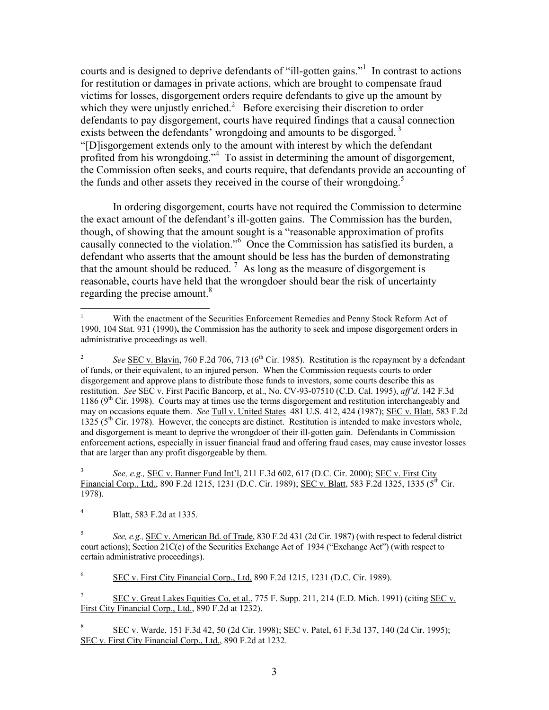courts and is designed to deprive defendants of "ill-gotten gains."<sup>[1](#page-5-0)</sup> In contrast to actions for restitution or damages in private actions, which are brought to compensate fraud victims for losses, disgorgement orders require defendants to give up the amount by which they were unjustly enriched.<sup>2</sup> Before exercising their discretion to order defendants to pay disgorgement, courts have required findings that a causal connection exists between the defendants' wrongdoing and amounts to be disgorged.<sup>3</sup> "[D]isgorgement extends only to the amount with interest by which the defendant profited from his wrongdoing."<sup>[4](#page-5-3)</sup> To assist in determining the amount of disgorgement, the Commission often seeks, and courts require, that defendants provide an accounting of the funds and other assets they received in the course of their wrongdoing.<sup>[5](#page-5-4)</sup>

In ordering disgorgement, courts have not required the Commission to determine the exact amount of the defendant's ill-gotten gains. The Commission has the burden, though, of showing that the amount sought is a "reasonable approximation of profits causally connected to the violation."<sup>[6](#page-5-5)</sup> Once the Commission has satisfied its burden, a defendant who asserts that the amount should be less has the burden of demonstrating that the amount should be reduced.<sup>7</sup> As long as the measure of disgorgement is reasonable, courts have held that the wrongdoer should bear the risk of uncertainty regarding the precise amount.<sup>[8](#page-5-7)</sup>

<span id="page-5-3"></span>4 Blatt, 583 F.2d at 1335.

 $\overline{a}$ 

<span id="page-5-5"></span>6 SEC v. First City Financial Corp., Ltd, 890 F.2d 1215, 1231 (D.C. Cir. 1989).

<span id="page-5-6"></span>7 SEC v. Great Lakes Equities Co, et al., 775 F. Supp. 211, 214 (E.D. Mich. 1991) (citing SEC v. First City Financial Corp., Ltd., 890 F.2d at 1232).

<span id="page-5-7"></span>8 SEC v. Warde, 151 F.3d 42, 50 (2d Cir. 1998); SEC v. Patel, 61 F.3d 137, 140 (2d Cir. 1995); SEC v. First City Financial Corp., Ltd., 890 F.2d at 1232.

<span id="page-5-0"></span><sup>1</sup> With the enactment of the Securities Enforcement Remedies and Penny Stock Reform Act of 1990, 104 Stat. 931 (1990)**,** the Commission has the authority to seek and impose disgorgement orders in administrative proceedings as well.

<span id="page-5-1"></span><sup>2</sup> See <u>SEC v. Blavin</u>, 760 F.2d 706, 713 (6<sup>th</sup> Cir. 1985). Restitution is the repayment by a defendant of funds, or their equivalent, to an injured person. When the Commission requests courts to order disgorgement and approve plans to distribute those funds to investors, some courts describe this as restitution. *See* SEC v. First Pacific Bancorp, et al., No. CV-93-07510 (C.D. Cal. 1995), *aff'd*, 142 F.3d 1186 ( $9<sup>th</sup>$  Cir. 1998). Courts may at times use the terms disgorgement and restitution interchangeably and may on occasions equate them. *See* Tull v. United States 481 U.S. 412, 424 (1987); SEC v. Blatt, 583 F.2d 1325 ( $5<sup>th</sup>$  Cir. 1978). However, the concepts are distinct. Restitution is intended to make investors whole, and disgorgement is meant to deprive the wrongdoer of their ill-gotten gain. Defendants in Commission enforcement actions, especially in issuer financial fraud and offering fraud cases, may cause investor losses that are larger than any profit disgorgeable by them.

<span id="page-5-2"></span><sup>3</sup> *See, e.g.,* SEC v. Banner Fund Int'l, 211 F.3d 602, 617 (D.C. Cir. 2000); SEC v. First City Financial Corp., Ltd., 890 F.2d 1215, 1231 (D.C. Cir. 1989); SEC v. Blatt, 583 F.2d 1325, 1335 (5<sup>th</sup> Cir. 1978).

<span id="page-5-4"></span><sup>5</sup> *See, e.g.,* SEC v. American Bd. of Trade, 830 F.2d 431 (2d Cir. 1987) (with respect to federal district court actions); Section 21C(e) of the Securities Exchange Act of 1934 ("Exchange Act") (with respect to certain administrative proceedings).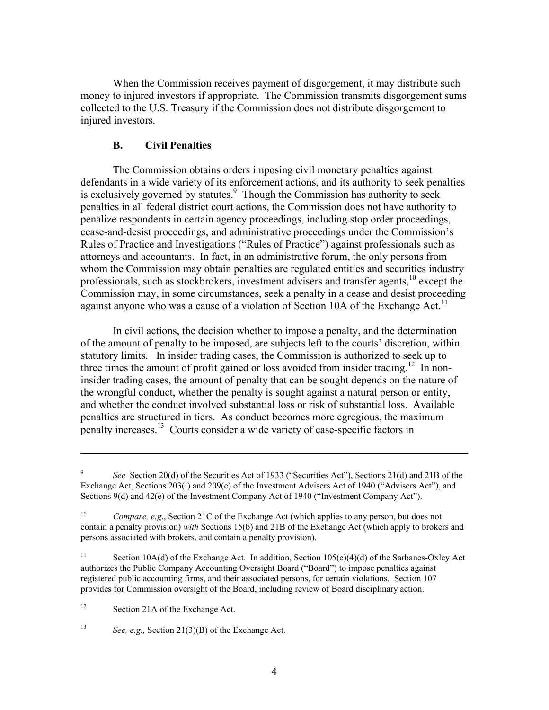When the Commission receives payment of disgorgement, it may distribute such money to injured investors if appropriate. The Commission transmits disgorgement sums collected to the U.S. Treasury if the Commission does not distribute disgorgement to injured investors.

### **B. Civil Penalties**

The Commission obtains orders imposing civil monetary penalties against defendants in a wide variety of its enforcement actions, and its authority to seek penalties is exclusively governed by statutes.<sup>9</sup> Though the Commission has authority to seek penalties in all federal district court actions, the Commission does not have authority to penalize respondents in certain agency proceedings, including stop order proceedings, cease-and-desist proceedings, and administrative proceedings under the Commission's Rules of Practice and Investigations ("Rules of Practice") against professionals such as attorneys and accountants. In fact, in an administrative forum, the only persons from whom the Commission may obtain penalties are regulated entities and securities industry professionals, such as stockbrokers, investment advisers and transfer agents,<sup>10</sup> except the Commission may, in some circumstances, seek a penalty in a cease and desist proceeding against anyone who was a cause of a violation of Section 10A of the Exchange Act.<sup>11</sup>

In civil actions, the decision whether to impose a penalty, and the determination of the amount of penalty to be imposed, are subjects left to the courts' discretion, within statutory limits. In insider trading cases, the Commission is authorized to seek up to three times the amount of profit gained or loss avoided from insider trading.<sup>12</sup> In noninsider trading cases, the amount of penalty that can be sought depends on the nature of the wrongful conduct, whether the penalty is sought against a natural person or entity, and whether the conduct involved substantial loss or risk of substantial loss. Available penalties are structured in tiers. As conduct becomes more egregious, the maximum penalty increases.[13](#page-6-4) Courts consider a wide variety of case-specific factors in

<span id="page-6-3"></span> $12$ Section 21A of the Exchange Act.

 $\overline{a}$ 

<span id="page-6-4"></span>13 *See, e.g.,* Section 21(3)(B) of the Exchange Act.

<span id="page-6-0"></span><sup>9</sup> See Section 20(d) of the Securities Act of 1933 ("Securities Act"), Sections 21(d) and 21B of the Exchange Act, Sections 203(i) and 209(e) of the Investment Advisers Act of 1940 ("Advisers Act"), and Sections 9(d) and 42(e) of the Investment Company Act of 1940 ("Investment Company Act").

<span id="page-6-1"></span><sup>10</sup> *Compare, e.g*., Section 21C of the Exchange Act (which applies to any person, but does not contain a penalty provision) *with* Sections 15(b) and 21B of the Exchange Act (which apply to brokers and persons associated with brokers, and contain a penalty provision).

<span id="page-6-2"></span><sup>&</sup>lt;sup>11</sup> Section 10A(d) of the Exchange Act. In addition, Section 105(c)(4)(d) of the Sarbanes-Oxley Act authorizes the Public Company Accounting Oversight Board ("Board") to impose penalties against registered public accounting firms, and their associated persons, for certain violations. Section 107 provides for Commission oversight of the Board, including review of Board disciplinary action.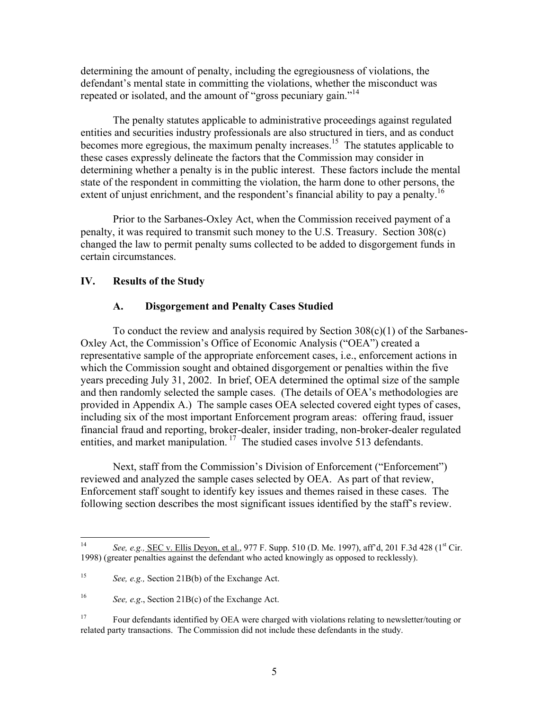determining the amount of penalty, including the egregiousness of violations, the defendant's mental state in committing the violations, whether the misconduct was repeated or isolated, and the amount of "gross pecuniary gain."<sup>[14](#page-7-0)</sup>

The penalty statutes applicable to administrative proceedings against regulated entities and securities industry professionals are also structured in tiers, and as conduct becomes more egregious, the maximum penalty increases.<sup>15</sup> The statutes applicable to these cases expressly delineate the factors that the Commission may consider in determining whether a penalty is in the public interest. These factors include the mental state of the respondent in committing the violation, the harm done to other persons, the extent of unjust enrichment, and the respondent's financial ability to pay a penalty.<sup>[16](#page-7-2)</sup>

Prior to the Sarbanes-Oxley Act, when the Commission received payment of a penalty, it was required to transmit such money to the U.S. Treasury. Section 308(c) changed the law to permit penalty sums collected to be added to disgorgement funds in certain circumstances.

### **IV. Results of the Study**

#### **A. Disgorgement and Penalty Cases Studied**

To conduct the review and analysis required by Section  $308(c)(1)$  of the Sarbanes-Oxley Act, the Commission's Office of Economic Analysis ("OEA") created a representative sample of the appropriate enforcement cases, i.e., enforcement actions in which the Commission sought and obtained disgorgement or penalties within the five years preceding July 31, 2002. In brief, OEA determined the optimal size of the sample and then randomly selected the sample cases. (The details of OEA's methodologies are provided in Appendix A.) The sample cases OEA selected covered eight types of cases, including six of the most important Enforcement program areas: offering fraud, issuer financial fraud and reporting, broker-dealer, insider trading, non-broker-dealer regulated entities, and market manipulation.<sup>17</sup> The studied cases involve 513 defendants.

Next, staff from the Commission's Division of Enforcement ("Enforcement") reviewed and analyzed the sample cases selected by OEA. As part of that review, Enforcement staff sought to identify key issues and themes raised in these cases. The following section describes the most significant issues identified by the staff's review.

<span id="page-7-0"></span> $14$ See, e.g., <u>SEC v. Ellis Deyon, et al.</u>, 977 F. Supp. 510 (D. Me. 1997), aff'd, 201 F.3d 428 (1<sup>st</sup> Cir. 1998) (greater penalties against the defendant who acted knowingly as opposed to recklessly).

<span id="page-7-1"></span><sup>15</sup> *See, e.g.,* Section 21B(b) of the Exchange Act.

<span id="page-7-2"></span><sup>16</sup> *See, e.g*., Section 21B(c) of the Exchange Act.

<span id="page-7-3"></span><sup>&</sup>lt;sup>17</sup> Four defendants identified by OEA were charged with violations relating to newsletter/touting or related party transactions. The Commission did not include these defendants in the study.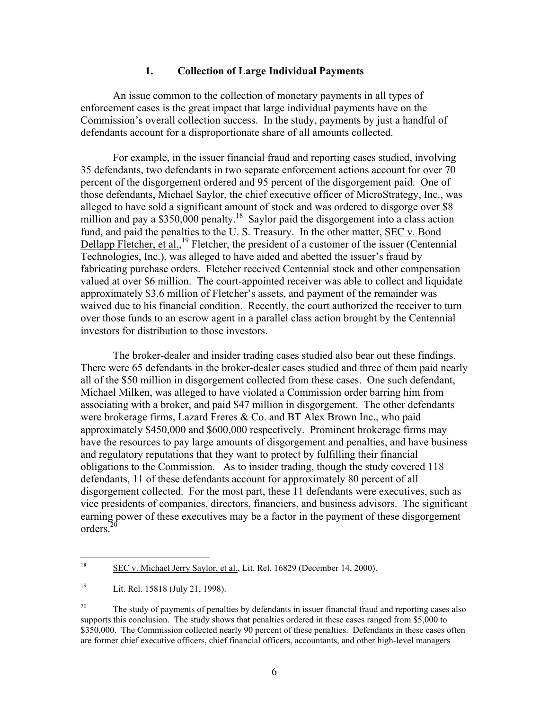#### **1. Collection of Large Individual Payments**

<span id="page-8-2"></span>An issue common to the collection of monetary payments in all types of enforcement cases is the great impact that large individual payments have on the Commission's overall collection success. In the study, payments by just a handful of defendants account for a disproportionate share of all amounts collected.

For example, in the issuer financial fraud and reporting cases studied, involving 35 defendants, two defendants in two separate enforcement actions account for over 70 percent of the disgorgement ordered and 95 percent of the disgorgement paid. One of those defendants, Michael Saylor, the chief executive officer of MicroStrategy, Inc., was alleged to have sold a significant amount of stock and was ordered to disgorge over \$8 million and pay a  $$350,000$  penalty.<sup>18</sup> Saylor paid the disgorgement into a class action fund, and paid the penalties to the U. S. Treasury. In the other matter, SEC v. Bond Dellapp Fletcher, et al.,<sup>19</sup> Fletcher, the president of a customer of the issuer (Centennial Technologies, Inc.), was alleged to have aided and abetted the issuer's fraud by fabricating purchase orders. Fletcher received Centennial stock and other compensation valued at over \$6 million. The court-appointed receiver was able to collect and liquidate approximately \$3.6 million of Fletcher's assets, and payment of the remainder was waived due to his financial condition. Recently, the court authorized the receiver to turn over those funds to an escrow agent in a parallel class action brought by the Centennial investors for distribution to those investors.

The broker-dealer and insider trading cases studied also bear out these findings. There were 65 defendants in the broker-dealer cases studied and three of them paid nearly all of the \$50 million in disgorgement collected from these cases. One such defendant, Michael Milken, was alleged to have violated a Commission order barring him from associating with a broker, and paid \$47 million in disgorgement. The other defendants were brokerage firms, Lazard Freres & Co. and BT Alex Brown Inc., who paid approximately \$450,000 and \$600,000 respectively. Prominent brokerage firms may have the resources to pay large amounts of disgorgement and penalties, and have business and regulatory reputations that they want to protect by fulfilling their financial obligations to the Commission. As to insider trading, though the study covered 118 defendants, 11 of these defendants account for approximately 80 percent of all disgorgement collected. For the most part, these 11 defendants were executives, such as vice presidents of companies, directors, financiers, and business advisors. The significant earning power of these executives may be a factor in the payment of these disgorgement orders<sup>20</sup>

<span id="page-8-0"></span> $18\,$ SEC v. Michael Jerry Saylor, et al., Lit. Rel. 16829 (December 14, 2000).

<span id="page-8-1"></span><sup>19</sup> Lit. Rel. 15818 (July 21, 1998).

<sup>&</sup>lt;sup>20</sup> The study of payments of penalties by defendants in issuer financial fraud and reporting cases also supports this conclusion. The study shows that penalties ordered in these cases ranged from \$5,000 to \$350,000. The Commission collected nearly 90 percent of these penalties. Defendants in these cases often are former chief executive officers, chief financial officers, accountants, and other high-level managers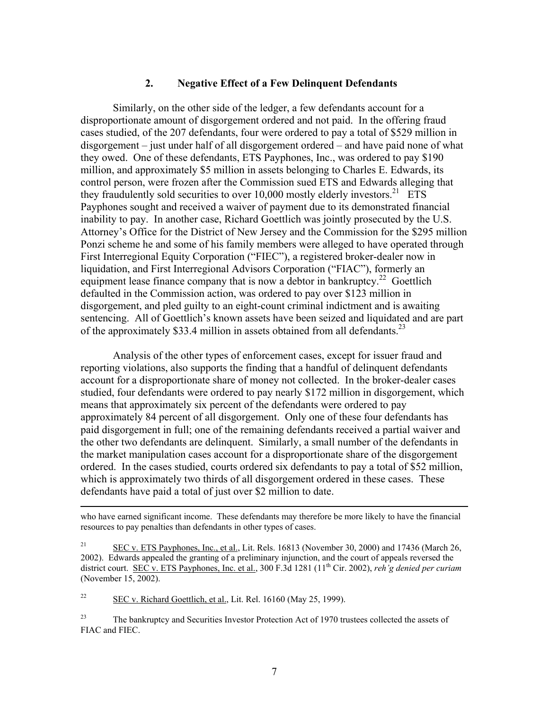## **2. Negative Effect of a Few Delinquent Defendants**

Similarly, on the other side of the ledger, a few defendants account for a disproportionate amount of disgorgement ordered and not paid. In the offering fraud cases studied, of the 207 defendants, four were ordered to pay a total of \$529 million in disgorgement – just under half of all disgorgement ordered – and have paid none of what they owed. One of these defendants, ETS Payphones, Inc., was ordered to pay \$190 million, and approximately \$5 million in assets belonging to Charles E. Edwards, its control person, were frozen after the Commission sued ETS and Edwards alleging that they fraudulently sold securities to over  $10,000$  mostly elderly investors.<sup>21</sup> ETS Payphones sought and received a waiver of payment due to its demonstrated financial inability to pay. In another case, Richard Goettlich was jointly prosecuted by the U.S. Attorney's Office for the District of New Jersey and the Commission for the \$295 million Ponzi scheme he and some of his family members were alleged to have operated through First Interregional Equity Corporation ("FIEC"), a registered broker-dealer now in liquidation, and First Interregional Advisors Corporation ("FIAC"), formerly an equipment lease finance company that is now a debtor in bankruptcy.<sup>22</sup> Goettlich defaulted in the Commission action, was ordered to pay over \$123 million in disgorgement, and pled guilty to an eight-count criminal indictment and is awaiting sentencing. All of Goettlich's known assets have been seized and liquidated and are part of the approximately \$33.4 million in assets obtained from all defendants.<sup>[23](#page-9-2)</sup>

Analysis of the other types of enforcement cases, except for issuer fraud and reporting violations, also supports the finding that a handful of delinquent defendants account for a disproportionate share of money not collected. In the broker-dealer cases studied, four defendants were ordered to pay nearly \$172 million in disgorgement, which means that approximately six percent of the defendants were ordered to pay approximately 84 percent of all disgorgement. Only one of these four defendants has paid disgorgement in full; one of the remaining defendants received a partial waiver and the other two defendants are delinquent. Similarly, a small number of the defendants in the market manipulation cases account for a disproportionate share of the disgorgement ordered. In the cases studied, courts ordered six defendants to pay a total of \$52 million, which is approximately two thirds of all disgorgement ordered in these cases. These defendants have paid a total of just over \$2 million to date.

<span id="page-9-1"></span> $22$  SEC v. Richard Goettlich, et al., Lit. Rel. 16160 (May 25, 1999).

<span id="page-9-2"></span><sup>23</sup> The bankruptcy and Securities Investor Protection Act of 1970 trustees collected the assets of FIAC and FIEC.

who have earned significant income. These defendants may therefore be more likely to have the financial resources to pay penalties than defendants in other types of cases.

<span id="page-9-0"></span><sup>&</sup>lt;sup>21</sup> SEC v. ETS Payphones, Inc., et al., Lit. Rels. 16813 (November 30, 2000) and 17436 (March 26, 2002). Edwards appealed the granting of a preliminary injunction, and the court of appeals reversed the district court. SEC v. ETS Payphones, Inc. et al., 300 F.3d 1281 (11<sup>th</sup> Cir. 2002), *reh<sup>1</sup>g denied per curiam* (November 15, 2002).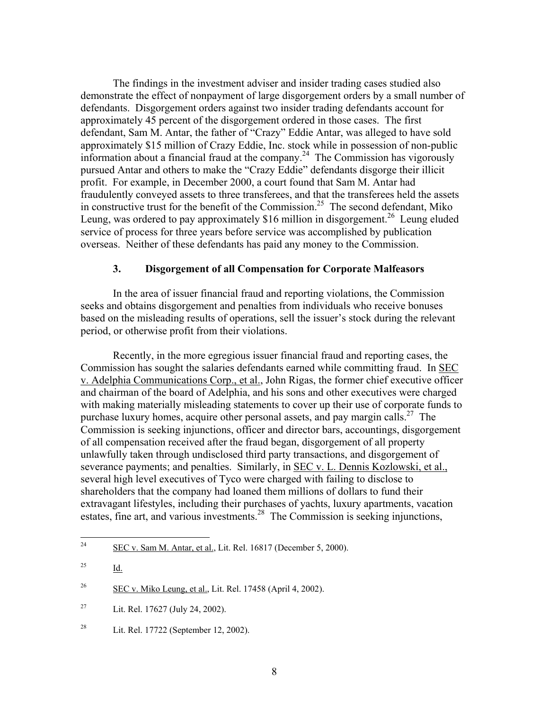The findings in the investment adviser and insider trading cases studied also demonstrate the effect of nonpayment of large disgorgement orders by a small number of defendants. Disgorgement orders against two insider trading defendants account for approximately 45 percent of the disgorgement ordered in those cases. The first defendant, Sam M. Antar, the father of "Crazy" Eddie Antar, was alleged to have sold approximately \$15 million of Crazy Eddie, Inc. stock while in possession of non-public information about a financial fraud at the company.<sup>24</sup> The Commission has vigorously pursued Antar and others to make the "Crazy Eddie" defendants disgorge their illicit profit. For example, in December 2000, a court found that Sam M. Antar had fraudulently conveyed assets to three transferees, and that the transferees held the assets in constructive trust for the benefit of the Commission.<sup>25</sup> The second defendant, Miko Leung, was ordered to pay approximately \$16 million in disgorgement.<sup>26</sup> Leung eluded service of process for three years before service was accomplished by publication overseas. Neither of these defendants has paid any money to the Commission.

#### **3. Disgorgement of all Compensation for Corporate Malfeasors**

In the area of issuer financial fraud and reporting violations, the Commission seeks and obtains disgorgement and penalties from individuals who receive bonuses based on the misleading results of operations, sell the issuer's stock during the relevant period, or otherwise profit from their violations.

Recently, in the more egregious issuer financial fraud and reporting cases, the Commission has sought the salaries defendants earned while committing fraud. In SEC v. Adelphia Communications Corp., et al., John Rigas, the former chief executive officer and chairman of the board of Adelphia, and his sons and other executives were charged with making materially misleading statements to cover up their use of corporate funds to purchase luxury homes, acquire other personal assets, and pay margin calls.<sup>27</sup> The Commission is seeking injunctions, officer and director bars, accountings, disgorgement of all compensation received after the fraud began, disgorgement of all property unlawfully taken through undisclosed third party transactions, and disgorgement of severance payments; and penalties. Similarly, in SEC v. L. Dennis Kozlowski, et al., several high level executives of Tyco were charged with failing to disclose to shareholders that the company had loaned them millions of dollars to fund their extravagant lifestyles, including their purchases of yachts, luxury apartments, vacation estates, fine art, and various investments[.28](#page-10-4) The Commission is seeking injunctions,

<span id="page-10-0"></span> $24$ SEC v. Sam M. Antar, et al., Lit. Rel. 16817 (December 5, 2000).

<span id="page-10-1"></span><sup>25</sup> Id.

<span id="page-10-2"></span> $26$  SEC v. Miko Leung, et al., Lit. Rel. 17458 (April 4, 2002).

<span id="page-10-3"></span><sup>&</sup>lt;sup>27</sup> Lit. Rel. 17627 (July 24, 2002).

<span id="page-10-4"></span><sup>28</sup> Lit. Rel. 17722 (September 12, 2002).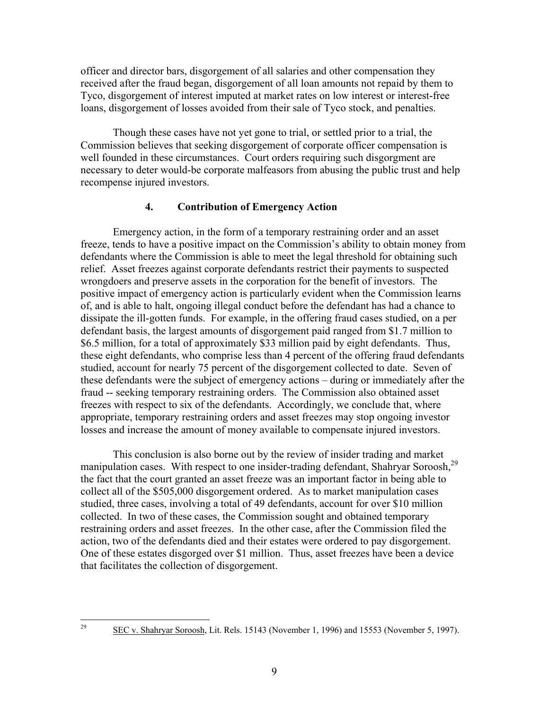officer and director bars, disgorgement of all salaries and other compensation they received after the fraud began, disgorgement of all loan amounts not repaid by them to Tyco, disgorgement of interest imputed at market rates on low interest or interest-free loans, disgorgement of losses avoided from their sale of Tyco stock, and penalties.

Though these cases have not yet gone to trial, or settled prior to a trial, the Commission believes that seeking disgorgement of corporate officer compensation is well founded in these circumstances. Court orders requiring such disgorgment are necessary to deter would-be corporate malfeasors from abusing the public trust and help recompense injured investors.

# **4. Contribution of Emergency Action**

Emergency action, in the form of a temporary restraining order and an asset freeze, tends to have a positive impact on the Commission's ability to obtain money from defendants where the Commission is able to meet the legal threshold for obtaining such relief. Asset freezes against corporate defendants restrict their payments to suspected wrongdoers and preserve assets in the corporation for the benefit of investors. The positive impact of emergency action is particularly evident when the Commission learns of, and is able to halt, ongoing illegal conduct before the defendant has had a chance to dissipate the ill-gotten funds. For example, in the offering fraud cases studied, on a per defendant basis, the largest amounts of disgorgement paid ranged from \$1.7 million to \$6.5 million, for a total of approximately \$33 million paid by eight defendants. Thus, these eight defendants, who comprise less than 4 percent of the offering fraud defendants studied, account for nearly 75 percent of the disgorgement collected to date. Seven of these defendants were the subject of emergency actions – during or immediately after the fraud -- seeking temporary restraining orders. The Commission also obtained asset freezes with respect to six of the defendants. Accordingly, we conclude that, where appropriate, temporary restraining orders and asset freezes may stop ongoing investor losses and increase the amount of money available to compensate injured investors.

This conclusion is also borne out by the review of insider trading and market manipulation cases. With respect to one insider-trading defendant, Shahryar Soroosh,<sup>[29](#page-11-0)</sup> the fact that the court granted an asset freeze was an important factor in being able to collect all of the \$505,000 disgorgement ordered. As to market manipulation cases studied, three cases, involving a total of 49 defendants, account for over \$10 million collected. In two of these cases, the Commission sought and obtained temporary restraining orders and asset freezes. In the other case, after the Commission filed the action, two of the defendants died and their estates were ordered to pay disgorgement. One of these estates disgorged over \$1 million. Thus, asset freezes have been a device that facilitates the collection of disgorgement.

<span id="page-11-0"></span>29

SEC v. Shahryar Soroosh, Lit. Rels. 15143 (November 1, 1996) and 15553 (November 5, 1997).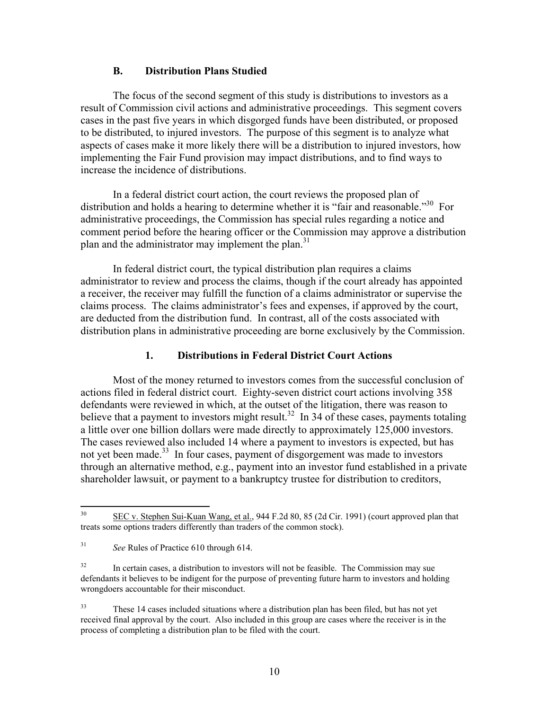#### **B. Distribution Plans Studied**

The focus of the second segment of this study is distributions to investors as a result of Commission civil actions and administrative proceedings. This segment covers cases in the past five years in which disgorged funds have been distributed, or proposed to be distributed, to injured investors. The purpose of this segment is to analyze what aspects of cases make it more likely there will be a distribution to injured investors, how implementing the Fair Fund provision may impact distributions, and to find ways to increase the incidence of distributions.

In a federal district court action, the court reviews the proposed plan of distribution and holds a hearing to determine whether it is "fair and reasonable."<sup>30</sup> For administrative proceedings, the Commission has special rules regarding a notice and comment period before the hearing officer or the Commission may approve a distribution plan and the administrator may implement the plan.<sup>31</sup>

In federal district court, the typical distribution plan requires a claims administrator to review and process the claims, though if the court already has appointed a receiver, the receiver may fulfill the function of a claims administrator or supervise the claims process. The claims administrator's fees and expenses, if approved by the court, are deducted from the distribution fund. In contrast, all of the costs associated with distribution plans in administrative proceeding are borne exclusively by the Commission.

## **1. Distributions in Federal District Court Actions**

Most of the money returned to investors comes from the successful conclusion of actions filed in federal district court. Eighty-seven district court actions involving 358 defendants were reviewed in which, at the outset of the litigation, there was reason to believe that a payment to investors might result.<sup>32</sup> In 34 of these cases, payments totaling a little over one billion dollars were made directly to approximately 125,000 investors. The cases reviewed also included 14 where a payment to investors is expected, but has not yet been made.<sup>33</sup> In four cases, payment of disgorgement was made to investors through an alternative method, e.g., payment into an investor fund established in a private shareholder lawsuit, or payment to a bankruptcy trustee for distribution to creditors,

<span id="page-12-0"></span> $30<sup>2</sup>$ SEC v. Stephen Sui-Kuan Wang, et al., 944 F.2d 80, 85 (2d Cir. 1991) (court approved plan that treats some options traders differently than traders of the common stock).

<span id="page-12-1"></span><sup>31</sup> *See* Rules of Practice 610 through 614.

<span id="page-12-2"></span> $32$  In certain cases, a distribution to investors will not be feasible. The Commission may sue defendants it believes to be indigent for the purpose of preventing future harm to investors and holding wrongdoers accountable for their misconduct.

<span id="page-12-3"></span><sup>33</sup> These 14 cases included situations where a distribution plan has been filed, but has not yet received final approval by the court. Also included in this group are cases where the receiver is in the process of completing a distribution plan to be filed with the court.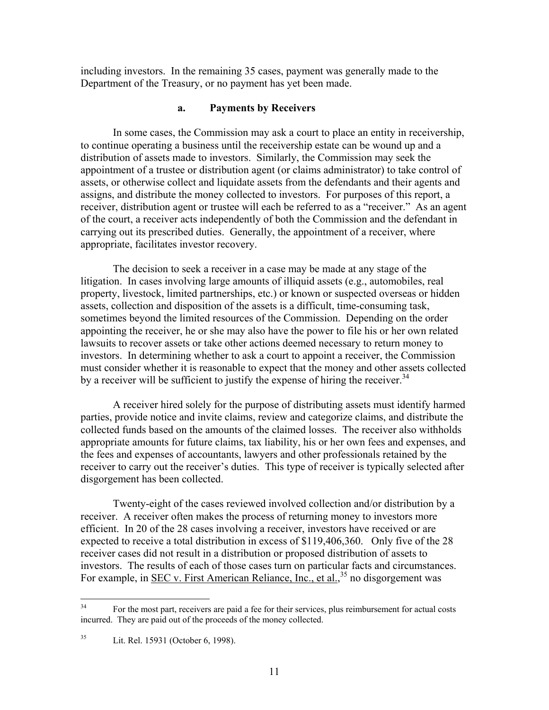including investors. In the remaining 35 cases, payment was generally made to the Department of the Treasury, or no payment has yet been made.

#### **a. Payments by Receivers**

In some cases, the Commission may ask a court to place an entity in receivership, to continue operating a business until the receivership estate can be wound up and a distribution of assets made to investors. Similarly, the Commission may seek the appointment of a trustee or distribution agent (or claims administrator) to take control of assets, or otherwise collect and liquidate assets from the defendants and their agents and assigns, and distribute the money collected to investors. For purposes of this report, a receiver, distribution agent or trustee will each be referred to as a "receiver." As an agent of the court, a receiver acts independently of both the Commission and the defendant in carrying out its prescribed duties. Generally, the appointment of a receiver, where appropriate, facilitates investor recovery.

The decision to seek a receiver in a case may be made at any stage of the litigation. In cases involving large amounts of illiquid assets (e.g., automobiles, real property, livestock, limited partnerships, etc.) or known or suspected overseas or hidden assets, collection and disposition of the assets is a difficult, time-consuming task, sometimes beyond the limited resources of the Commission. Depending on the order appointing the receiver, he or she may also have the power to file his or her own related lawsuits to recover assets or take other actions deemed necessary to return money to investors. In determining whether to ask a court to appoint a receiver, the Commission must consider whether it is reasonable to expect that the money and other assets collected by a receiver will be sufficient to justify the expense of hiring the receiver.<sup>34</sup>

A receiver hired solely for the purpose of distributing assets must identify harmed parties, provide notice and invite claims, review and categorize claims, and distribute the collected funds based on the amounts of the claimed losses. The receiver also withholds appropriate amounts for future claims, tax liability, his or her own fees and expenses, and the fees and expenses of accountants, lawyers and other professionals retained by the receiver to carry out the receiver's duties. This type of receiver is typically selected after disgorgement has been collected.

Twenty-eight of the cases reviewed involved collection and/or distribution by a receiver. A receiver often makes the process of returning money to investors more efficient. In 20 of the 28 cases involving a receiver, investors have received or are expected to receive a total distribution in excess of \$119,406,360. Only five of the 28 receiver cases did not result in a distribution or proposed distribution of assets to investors. The results of each of those cases turn on particular facts and circumstances. For example, in <u>SEC v. First American Reliance, Inc., et al.</u>,<sup>35</sup> no disgorgement was

<span id="page-13-0"></span> $34$ 34 For the most part, receivers are paid a fee for their services, plus reimbursement for actual costs incurred. They are paid out of the proceeds of the money collected.

<span id="page-13-1"></span><sup>35</sup> Lit. Rel. 15931 (October 6, 1998).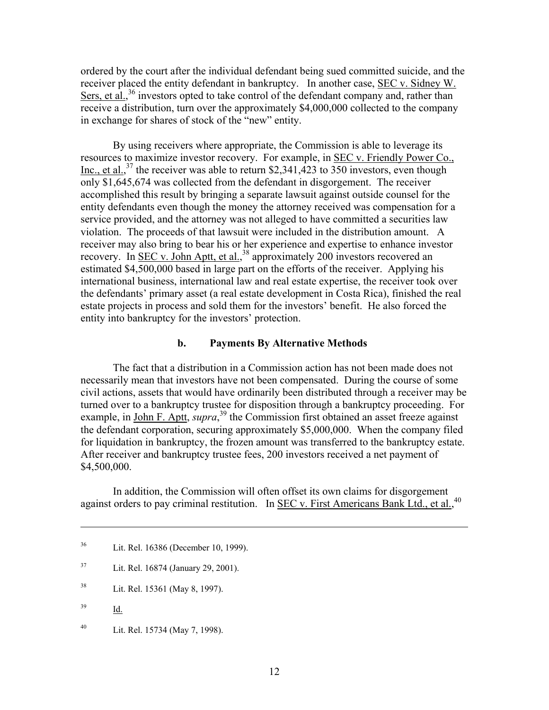ordered by the court after the individual defendant being sued committed suicide, and the receiver placed the entity defendant in bankruptcy. In another case, SEC v. Sidney W. Sers, et al.,<sup>36</sup> investors opted to take control of the defendant company and, rather than receive a distribution, turn over the approximately \$4,000,000 collected to the company in exchange for shares of stock of the "new" entity.

By using receivers where appropriate, the Commission is able to leverage its resources to maximize investor recovery. For example, in SEC v. Friendly Power Co., Inc., et al.,<sup>37</sup> the receiver was able to return \$2,341,423 to 350 investors, even though only \$1,645,674 was collected from the defendant in disgorgement. The receiver accomplished this result by bringing a separate lawsuit against outside counsel for the entity defendants even though the money the attorney received was compensation for a service provided, and the attorney was not alleged to have committed a securities law violation. The proceeds of that lawsuit were included in the distribution amount. A receiver may also bring to bear his or her experience and expertise to enhance investor recovery. In <u>SEC v. John Aptt, et al.</u><sup>38</sup> approximately 200 investors recovered an estimated \$4,500,000 based in large part on the efforts of the receiver. Applying his international business, international law and real estate expertise, the receiver took over the defendants' primary asset (a real estate development in Costa Rica), finished the real estate projects in process and sold them for the investors' benefit. He also forced the entity into bankruptcy for the investors' protection.

#### **b. Payments By Alternative Methods**

The fact that a distribution in a Commission action has not been made does not necessarily mean that investors have not been compensated. During the course of some civil actions, assets that would have ordinarily been distributed through a receiver may be turned over to a bankruptcy trustee for disposition through a bankruptcy proceeding. For example, in <u>John F. Aptt</u>, *supra*,<sup>39</sup> the Commission first obtained an asset freeze against the defendant corporation, securing approximately \$5,000,000. When the company filed for liquidation in bankruptcy, the frozen amount was transferred to the bankruptcy estate. After receiver and bankruptcy trustee fees, 200 investors received a net payment of \$4,500,000.

In addition, the Commission will often offset its own claims for disgorgement against orders to pay criminal restitution. In SEC v. First Americans Bank Ltd., et al.,<sup>[40](#page-14-4)</sup>

- <span id="page-14-1"></span>37 Lit. Rel. 16874 (January 29, 2001).
- <span id="page-14-2"></span>38 Lit. Rel. 15361 (May 8, 1997).
- <span id="page-14-3"></span>39 Id.

 $\overline{a}$ 

<span id="page-14-4"></span>40 Lit. Rel. 15734 (May 7, 1998).

<span id="page-14-0"></span><sup>36</sup> Lit. Rel. 16386 (December 10, 1999).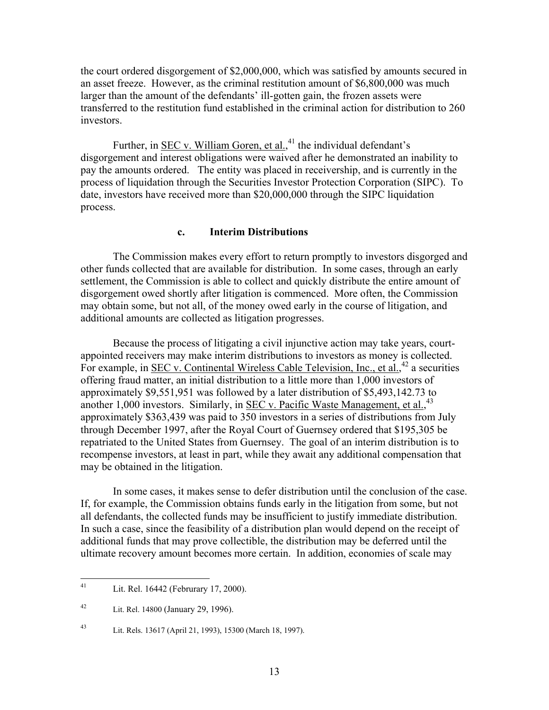the court ordered disgorgement of \$2,000,000, which was satisfied by amounts secured in an asset freeze. However, as the criminal restitution amount of \$6,800,000 was much larger than the amount of the defendants' ill-gotten gain, the frozen assets were transferred to the restitution fund established in the criminal action for distribution to 260 investors.

Further, in **SEC** v. William Goren, et al.,<sup>41</sup> the individual defendant's disgorgement and interest obligations were waived after he demonstrated an inability to pay the amounts ordered. The entity was placed in receivership, and is currently in the process of liquidation through the Securities Investor Protection Corporation (SIPC). To date, investors have received more than \$20,000,000 through the SIPC liquidation process.

## **c. Interim Distributions**

The Commission makes every effort to return promptly to investors disgorged and other funds collected that are available for distribution. In some cases, through an early settlement, the Commission is able to collect and quickly distribute the entire amount of disgorgement owed shortly after litigation is commenced. More often, the Commission may obtain some, but not all, of the money owed early in the course of litigation, and additional amounts are collected as litigation progresses.

Because the process of litigating a civil injunctive action may take years, courtappointed receivers may make interim distributions to investors as money is collected. For example, in <u>SEC v. Continental Wireless Cable Television, Inc., et al.</u><sup>42</sup> a securities offering fraud matter, an initial distribution to a little more than 1,000 investors of approximately \$9,551,951 was followed by a later distribution of \$5,493,142.73 to another 1,000 investors. Similarly, in **SEC v. Pacific Waste Management**, et al.,<sup>[43](#page-15-2)</sup> approximately \$363,439 was paid to 350 investors in a series of distributions from July through December 1997, after the Royal Court of Guernsey ordered that \$195,305 be repatriated to the United States from Guernsey. The goal of an interim distribution is to recompense investors, at least in part, while they await any additional compensation that may be obtained in the litigation.

In some cases, it makes sense to defer distribution until the conclusion of the case. If, for example, the Commission obtains funds early in the litigation from some, but not all defendants, the collected funds may be insufficient to justify immediate distribution. In such a case, since the feasibility of a distribution plan would depend on the receipt of additional funds that may prove collectible, the distribution may be deferred until the ultimate recovery amount becomes more certain. In addition, economies of scale may

<span id="page-15-0"></span><sup>41</sup> Lit. Rel. 16442 (Februrary 17, 2000).

<span id="page-15-1"></span><sup>42</sup> Lit. Rel. 14800 (January 29, 1996).

<span id="page-15-2"></span><sup>43</sup> Lit. Rels. 13617 (April 21, 1993), 15300 (March 18, 1997).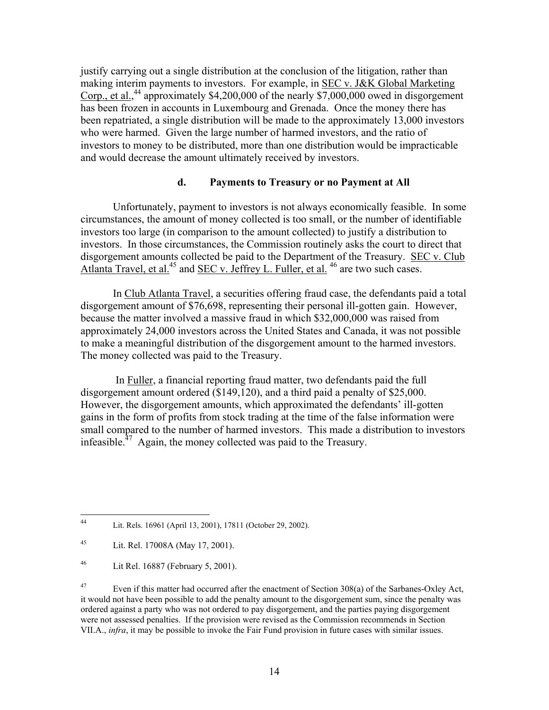justify carrying out a single distribution at the conclusion of the litigation, rather than making interim payments to investors. For example, in SEC v. J&K Global Marketing Corp., et al., [44](#page-16-0) approximately \$4,200,000 of the nearly \$7,000,000 owed in disgorgement has been frozen in accounts in Luxembourg and Grenada. Once the money there has been repatriated, a single distribution will be made to the approximately 13,000 investors who were harmed. Given the large number of harmed investors, and the ratio of investors to money to be distributed, more than one distribution would be impracticable and would decrease the amount ultimately received by investors.

# **d. Payments to Treasury or no Payment at All**

Unfortunately, payment to investors is not always economically feasible. In some circumstances, the amount of money collected is too small, or the number of identifiable investors too large (in comparison to the amount collected) to justify a distribution to investors. In those circumstances, the Commission routinely asks the court to direct that disgorgement amounts collected be paid to the Department of the Treasury. SEC v. Club Atlanta Travel, et al.<sup>45</sup> and SEC v. Jeffrey L. Fuller, et al.<sup>46</sup> are two such cases.

In Club Atlanta Travel, a securities offering fraud case, the defendants paid a total disgorgement amount of \$76,698, representing their personal ill-gotten gain. However, because the matter involved a massive fraud in which \$32,000,000 was raised from approximately 24,000 investors across the United States and Canada, it was not possible to make a meaningful distribution of the disgorgement amount to the harmed investors. The money collected was paid to the Treasury.

In Fuller, a financial reporting fraud matter, two defendants paid the full disgorgement amount ordered (\$149,120), and a third paid a penalty of \$25,000. However, the disgorgement amounts, which approximated the defendants' ill-gotten gains in the form of profits from stock trading at the time of the false information were small compared to the number of harmed investors. This made a distribution to investors infeasible. $^{47}$  Again, the money collected was paid to the Treasury.

<span id="page-16-0"></span> $44$ Lit. Rels. 16961 (April 13, 2001), 17811 (October 29, 2002).

<span id="page-16-1"></span><sup>45</sup> Lit. Rel. 17008A (May 17, 2001).

<span id="page-16-2"></span><sup>46</sup> Lit Rel. 16887 (February 5, 2001).

<span id="page-16-3"></span><sup>&</sup>lt;sup>47</sup> Even if this matter had occurred after the enactment of Section 308(a) of the Sarbanes-Oxley Act, it would not have been possible to add the penalty amount to the disgorgement sum, since the penalty was ordered against a party who was not ordered to pay disgorgement, and the parties paying disgorgement were not assessed penalties. If the provision were revised as the Commission recommends in Section VII.A., *infra*, it may be possible to invoke the Fair Fund provision in future cases with similar issues.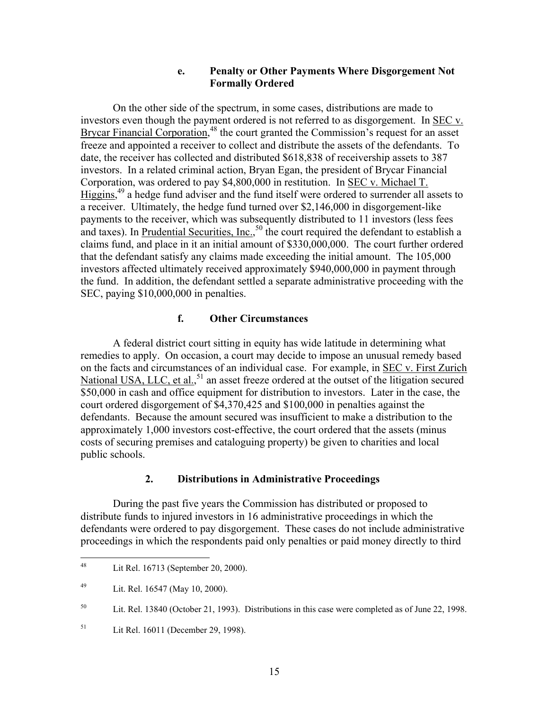### **e. Penalty or Other Payments Where Disgorgement Not Formally Ordered**

On the other side of the spectrum, in some cases, distributions are made to investors even though the payment ordered is not referred to as disgorgement. In SEC v. Brycar Financial Corporation,<sup>48</sup> the court granted the Commission's request for an asset freeze and appointed a receiver to collect and distribute the assets of the defendants. To date, the receiver has collected and distributed \$618,838 of receivership assets to 387 investors. In a related criminal action, Bryan Egan, the president of Brycar Financial Corporation, was ordered to pay \$4,800,000 in restitution. In SEC v. Michael T. Higgins,<sup>49</sup> a hedge fund adviser and the fund itself were ordered to surrender all assets to a receiver. Ultimately, the hedge fund turned over \$2,146,000 in disgorgement-like payments to the receiver, which was subsequently distributed to 11 investors (less fees and taxes). In Prudential Securities, Inc.,<sup>50</sup> the court required the defendant to establish a claims fund, and place in it an initial amount of \$330,000,000. The court further ordered that the defendant satisfy any claims made exceeding the initial amount. The 105,000 investors affected ultimately received approximately \$940,000,000 in payment through the fund. In addition, the defendant settled a separate administrative proceeding with the SEC, paying \$10,000,000 in penalties.

## **f. Other Circumstances**

A federal district court sitting in equity has wide latitude in determining what remedies to apply. On occasion, a court may decide to impose an unusual remedy based on the facts and circumstances of an individual case. For example, in SEC v. First Zurich National USA, LLC, et al.,<sup>51</sup> an asset freeze ordered at the outset of the litigation secured \$50,000 in cash and office equipment for distribution to investors. Later in the case, the court ordered disgorgement of \$4,370,425 and \$100,000 in penalties against the defendants. Because the amount secured was insufficient to make a distribution to the approximately 1,000 investors cost-effective, the court ordered that the assets (minus costs of securing premises and cataloguing property) be given to charities and local public schools.

## **2. Distributions in Administrative Proceedings**

During the past five years the Commission has distributed or proposed to distribute funds to injured investors in 16 administrative proceedings in which the defendants were ordered to pay disgorgement. These cases do not include administrative proceedings in which the respondents paid only penalties or paid money directly to third

<span id="page-17-0"></span><sup>48</sup> Lit Rel. 16713 (September 20, 2000).

<span id="page-17-1"></span><sup>49</sup> Lit. Rel. 16547 (May 10, 2000).

<span id="page-17-2"></span><sup>50</sup> Lit. Rel. 13840 (October 21, 1993). Distributions in this case were completed as of June 22, 1998.

<span id="page-17-3"></span><sup>51</sup> Lit Rel. 16011 (December 29, 1998).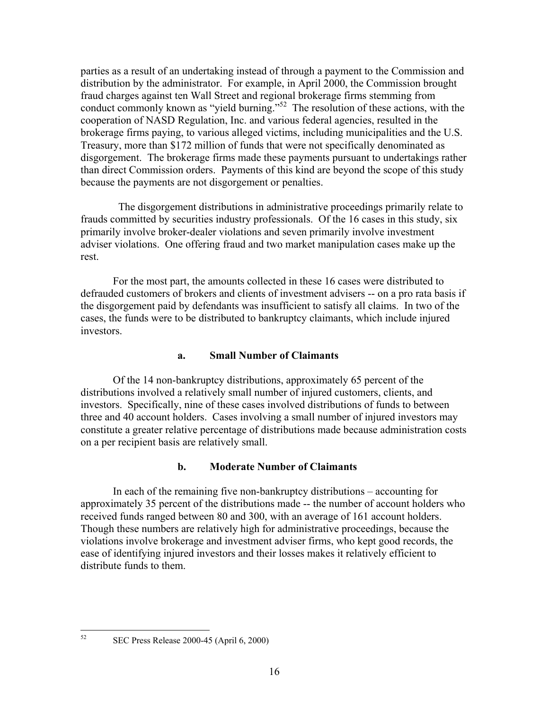parties as a result of an undertaking instead of through a payment to the Commission and distribution by the administrator. For example, in April 2000, the Commission brought fraud charges against ten Wall Street and regional brokerage firms stemming from conduct commonly known as "yield burning."<sup>52</sup> The resolution of these actions, with the cooperation of NASD Regulation, Inc. and various federal agencies, resulted in the brokerage firms paying, to various alleged victims, including municipalities and the U.S. Treasury, more than \$172 million of funds that were not specifically denominated as disgorgement. The brokerage firms made these payments pursuant to undertakings rather than direct Commission orders. Payments of this kind are beyond the scope of this study because the payments are not disgorgement or penalties.

 The disgorgement distributions in administrative proceedings primarily relate to frauds committed by securities industry professionals. Of the 16 cases in this study, six primarily involve broker-dealer violations and seven primarily involve investment adviser violations. One offering fraud and two market manipulation cases make up the rest.

For the most part, the amounts collected in these 16 cases were distributed to defrauded customers of brokers and clients of investment advisers -- on a pro rata basis if the disgorgement paid by defendants was insufficient to satisfy all claims. In two of the cases, the funds were to be distributed to bankruptcy claimants, which include injured investors.

## **a. Small Number of Claimants**

Of the 14 non-bankruptcy distributions, approximately 65 percent of the distributions involved a relatively small number of injured customers, clients, and investors. Specifically, nine of these cases involved distributions of funds to between three and 40 account holders. Cases involving a small number of injured investors may constitute a greater relative percentage of distributions made because administration costs on a per recipient basis are relatively small.

# **b. Moderate Number of Claimants**

In each of the remaining five non-bankruptcy distributions – accounting for approximately 35 percent of the distributions made -- the number of account holders who received funds ranged between 80 and 300, with an average of 161 account holders. Though these numbers are relatively high for administrative proceedings, because the violations involve brokerage and investment adviser firms, who kept good records, the ease of identifying injured investors and their losses makes it relatively efficient to distribute funds to them.

<span id="page-18-0"></span>52

<sup>52</sup> SEC Press Release 2000-45 (April 6, 2000)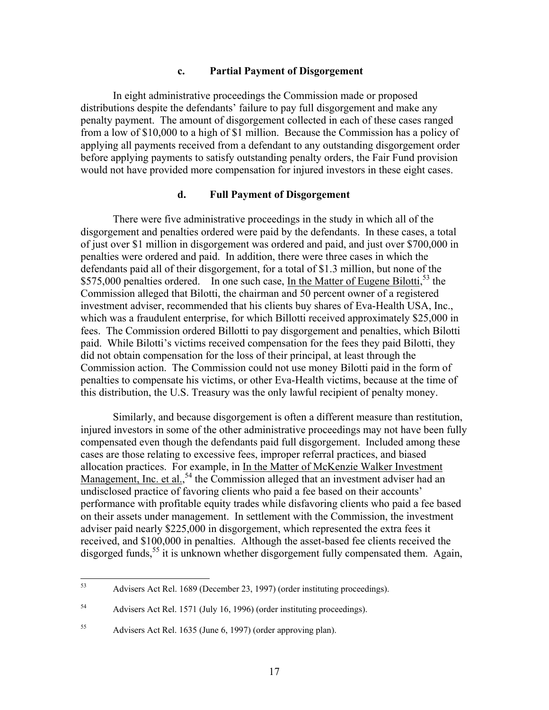#### **c. Partial Payment of Disgorgement**

In eight administrative proceedings the Commission made or proposed distributions despite the defendants' failure to pay full disgorgement and make any penalty payment. The amount of disgorgement collected in each of these cases ranged from a low of \$10,000 to a high of \$1 million. Because the Commission has a policy of applying all payments received from a defendant to any outstanding disgorgement order before applying payments to satisfy outstanding penalty orders, the Fair Fund provision would not have provided more compensation for injured investors in these eight cases.

#### **d. Full Payment of Disgorgement**

There were five administrative proceedings in the study in which all of the disgorgement and penalties ordered were paid by the defendants. In these cases, a total of just over \$1 million in disgorgement was ordered and paid, and just over \$700,000 in penalties were ordered and paid. In addition, there were three cases in which the defendants paid all of their disgorgement, for a total of \$1.3 million, but none of the \$575,000 penalties ordered. In one such case, <u>In the Matter of Eugene Bilotti</u>,<sup>53</sup> the Commission alleged that Bilotti, the chairman and 50 percent owner of a registered investment adviser, recommended that his clients buy shares of Eva-Health USA, Inc., which was a fraudulent enterprise, for which Billotti received approximately \$25,000 in fees. The Commission ordered Billotti to pay disgorgement and penalties, which Bilotti paid. While Bilotti's victims received compensation for the fees they paid Bilotti, they did not obtain compensation for the loss of their principal, at least through the Commission action. The Commission could not use money Bilotti paid in the form of penalties to compensate his victims, or other Eva-Health victims, because at the time of this distribution, the U.S. Treasury was the only lawful recipient of penalty money.

Similarly, and because disgorgement is often a different measure than restitution, injured investors in some of the other administrative proceedings may not have been fully compensated even though the defendants paid full disgorgement. Included among these cases are those relating to excessive fees, improper referral practices, and biased allocation practices. For example, in In the Matter of McKenzie Walker Investment Management, Inc. et al.,<sup>54</sup> the Commission alleged that an investment adviser had an undisclosed practice of favoring clients who paid a fee based on their accounts' performance with profitable equity trades while disfavoring clients who paid a fee based on their assets under management. In settlement with the Commission, the investment adviser paid nearly \$225,000 in disgorgement, which represented the extra fees it received, and \$100,000 in penalties. Although the asset-based fee clients received the disgorged funds,  $55$  it is unknown whether disgorgement fully compensated them. Again,

<span id="page-19-0"></span><sup>53</sup> 53 Advisers Act Rel. 1689 (December 23, 1997) (order instituting proceedings).

<span id="page-19-1"></span><sup>54</sup> Advisers Act Rel. 1571 (July 16, 1996) (order instituting proceedings).

<span id="page-19-2"></span><sup>55</sup> Advisers Act Rel. 1635 (June 6, 1997) (order approving plan).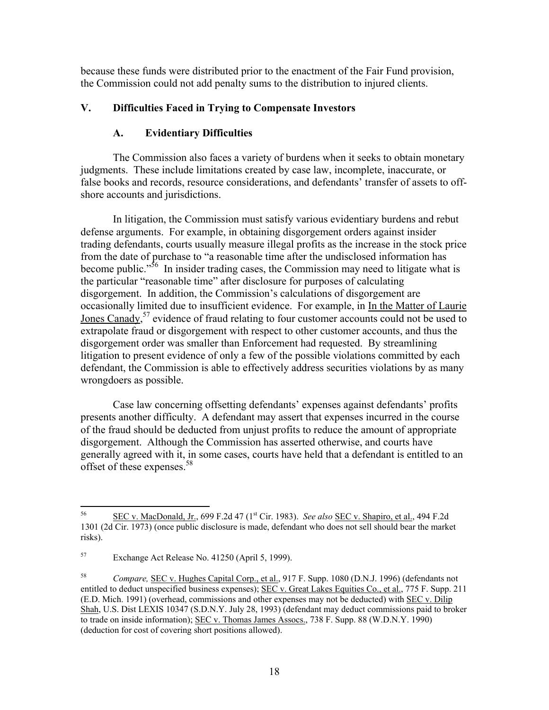because these funds were distributed prior to the enactment of the Fair Fund provision, the Commission could not add penalty sums to the distribution to injured clients.

# **V. Difficulties Faced in Trying to Compensate Investors**

# **A. Evidentiary Difficulties**

The Commission also faces a variety of burdens when it seeks to obtain monetary judgments. These include limitations created by case law, incomplete, inaccurate, or false books and records, resource considerations, and defendants' transfer of assets to offshore accounts and jurisdictions.

In litigation, the Commission must satisfy various evidentiary burdens and rebut defense arguments. For example, in obtaining disgorgement orders against insider trading defendants, courts usually measure illegal profits as the increase in the stock price from the date of purchase to "a reasonable time after the undisclosed information has become public."<sup>56</sup> In insider trading cases, the Commission may need to litigate what is the particular "reasonable time" after disclosure for purposes of calculating disgorgement. In addition, the Commission's calculations of disgorgement are occasionally limited due to insufficient evidence. For example, in In the Matter of Laurie Jones Canady,<sup>57</sup> evidence of fraud relating to four customer accounts could not be used to extrapolate fraud or disgorgement with respect to other customer accounts, and thus the disgorgement order was smaller than Enforcement had requested. By streamlining litigation to present evidence of only a few of the possible violations committed by each defendant, the Commission is able to effectively address securities violations by as many wrongdoers as possible.

Case law concerning offsetting defendants' expenses against defendants' profits presents another difficulty. A defendant may assert that expenses incurred in the course of the fraud should be deducted from unjust profits to reduce the amount of appropriate disgorgement. Although the Commission has asserted otherwise, and courts have generally agreed with it, in some cases, courts have held that a defendant is entitled to an offset of these expenses.<sup>58</sup>

<span id="page-20-0"></span><sup>56</sup> 56 SEC v. MacDonald, Jr., 699 F.2d 47 (1st Cir. 1983). *See also* SEC v. Shapiro, et al., 494 F.2d 1301 (2d Cir. 1973) (once public disclosure is made, defendant who does not sell should bear the market risks).

<span id="page-20-1"></span><sup>57</sup> Exchange Act Release No. 41250 (April 5, 1999).

<span id="page-20-2"></span><sup>58</sup> *Compare,* SEC v. Hughes Capital Corp., et al., 917 F. Supp. 1080 (D.N.J. 1996) (defendants not entitled to deduct unspecified business expenses); SEC v. Great Lakes Equities Co., et al., 775 F. Supp. 211 (E.D. Mich. 1991) (overhead, commissions and other expenses may not be deducted) with SEC v. Dilip Shah, U.S. Dist LEXIS 10347 (S.D.N.Y. July 28, 1993) (defendant may deduct commissions paid to broker to trade on inside information); SEC v. Thomas James Assocs., 738 F. Supp. 88 (W.D.N.Y. 1990) (deduction for cost of covering short positions allowed).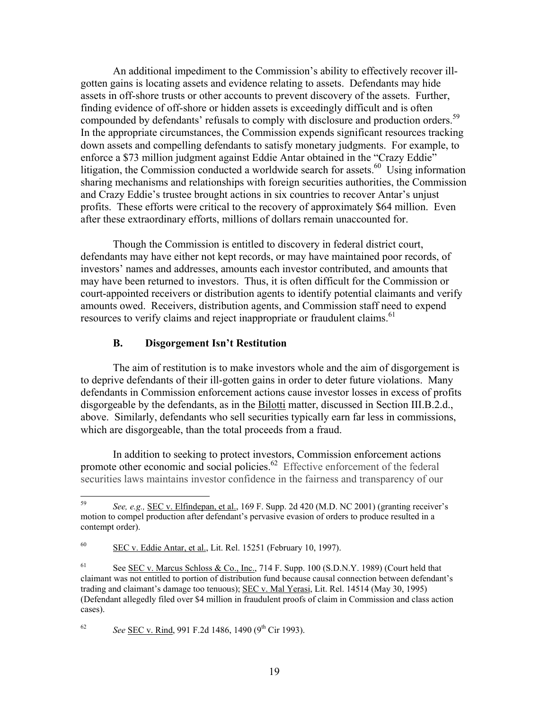An additional impediment to the Commission's ability to effectively recover illgotten gains is locating assets and evidence relating to assets. Defendants may hide assets in off-shore trusts or other accounts to prevent discovery of the assets. Further, finding evidence of off-shore or hidden assets is exceedingly difficult and is often compounded by defendants' refusals to comply with disclosure and production orders.<sup>59</sup> In the appropriate circumstances, the Commission expends significant resources tracking down assets and compelling defendants to satisfy monetary judgments. For example, to enforce a \$73 million judgment against Eddie Antar obtained in the "Crazy Eddie" litigation, the Commission conducted a worldwide search for assets.<sup>60</sup> Using information sharing mechanisms and relationships with foreign securities authorities, the Commission and Crazy Eddie's trustee brought actions in six countries to recover Antar's unjust profits. These efforts were critical to the recovery of approximately \$64 million. Even after these extraordinary efforts, millions of dollars remain unaccounted for.

Though the Commission is entitled to discovery in federal district court, defendants may have either not kept records, or may have maintained poor records, of investors' names and addresses, amounts each investor contributed, and amounts that may have been returned to investors. Thus, it is often difficult for the Commission or court-appointed receivers or distribution agents to identify potential claimants and verify amounts owed. Receivers, distribution agents, and Commission staff need to expend resources to verify claims and reject inappropriate or fraudulent claims.<sup>[61](#page-21-2)</sup>

## **B. Disgorgement Isn't Restitution**

The aim of restitution is to make investors whole and the aim of disgorgement is to deprive defendants of their ill-gotten gains in order to deter future violations. Many defendants in Commission enforcement actions cause investor losses in excess of profits disgorgeable by the defendants, as in the Bilotti matter, discussed in Section III.B.2.d., above. Similarly, defendants who sell securities typically earn far less in commissions, which are disgorgeable, than the total proceeds from a fraud.

In addition to seeking to protect investors, Commission enforcement actions promote other economic and social policies.<sup>62</sup> Effective enforcement of the federal securities laws maintains investor confidence in the fairness and transparency of our

<span id="page-21-3"></span>62 *See* SEC v. Rind, 991 F.2d 1486, 1490 (9th Cir 1993).

<span id="page-21-0"></span><sup>59</sup> 59 *See, e.g.,* SEC v. Elfindepan, et al., 169 F. Supp. 2d 420 (M.D. NC 2001) (granting receiver's motion to compel production after defendant's pervasive evasion of orders to produce resulted in a contempt order).

<span id="page-21-1"></span> $60$  SEC v. Eddie Antar, et al., Lit. Rel. 15251 (February 10, 1997).

<span id="page-21-2"></span><sup>&</sup>lt;sup>61</sup> See <u>SEC v. Marcus Schloss & Co., Inc.</u>, 714 F. Supp. 100 (S.D.N.Y. 1989) (Court held that claimant was not entitled to portion of distribution fund because causal connection between defendant's trading and claimant's damage too tenuous); SEC v. Mal Yerasi, Lit. Rel. 14514 (May 30, 1995) (Defendant allegedly filed over \$4 million in fraudulent proofs of claim in Commission and class action cases).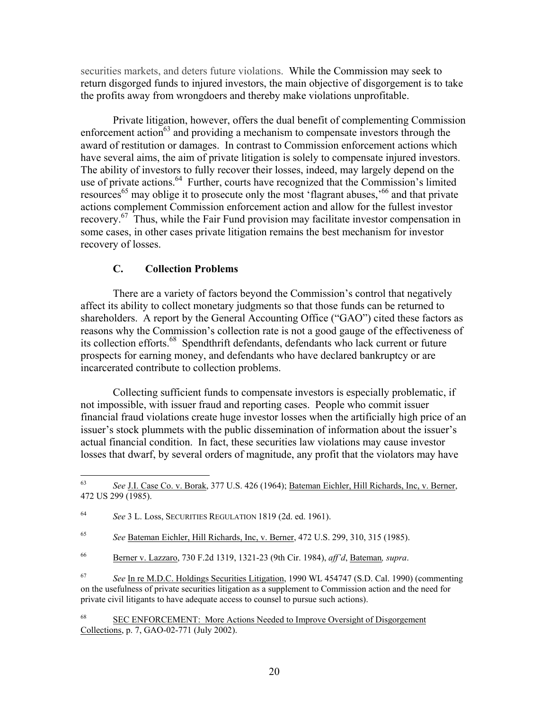securities markets, and deters future violations. While the Commission may seek to return disgorged funds to injured investors, the main objective of disgorgement is to take the profits away from wrongdoers and thereby make violations unprofitable.

Private litigation, however, offers the dual benefit of complementing Commission enforcement action<sup>63</sup> and providing a mechanism to compensate investors through the award of restitution or damages. In contrast to Commission enforcement actions which have several aims, the aim of private litigation is solely to compensate injured investors. The ability of investors to fully recover their losses, indeed, may largely depend on the use of private actions.<sup>64</sup> Further, courts have recognized that the Commission's limited resources<sup>65</sup> may oblige it to prosecute only the most 'flagrant abuses,'<sup>66</sup> and that private actions complement Commission enforcement action and allow for the fullest investor recovery.<sup>67</sup> Thus, while the Fair Fund provision may facilitate investor compensation in some cases, in other cases private litigation remains the best mechanism for investor recovery of losses.

## **C. Collection Problems**

There are a variety of factors beyond the Commission's control that negatively affect its ability to collect monetary judgments so that those funds can be returned to shareholders. A report by the General Accounting Office ("GAO") cited these factors as reasons why the Commission's collection rate is not a good gauge of the effectiveness of its collection efforts.<sup>68</sup> Spendthrift defendants, defendants who lack current or future prospects for earning money, and defendants who have declared bankruptcy or are incarcerated contribute to collection problems.

Collecting sufficient funds to compensate investors is especially problematic, if not impossible, with issuer fraud and reporting cases. People who commit issuer financial fraud violations create huge investor losses when the artificially high price of an issuer's stock plummets with the public dissemination of information about the issuer's actual financial condition. In fact, these securities law violations may cause investor losses that dwarf, by several orders of magnitude, any profit that the violators may have

<span id="page-22-0"></span><sup>63</sup> 63 *See* J.I. Case Co. v. Borak, 377 U.S. 426 (1964); Bateman Eichler, Hill Richards, Inc, v. Berner, 472 US 299 (1985).

<span id="page-22-1"></span><sup>64</sup> *See* 3 L. Loss, SECURITIES REGULATION 1819 (2d. ed. 1961).

<span id="page-22-2"></span><sup>65</sup> *See* Bateman Eichler, Hill Richards, Inc, v. Berner, 472 U.S. 299, 310, 315 (1985).

<span id="page-22-3"></span><sup>66</sup> Berner v. Lazzaro, 730 F.2d 1319, 1321-23 (9th Cir. 1984), *aff'd*, Bateman*, supra*.

<span id="page-22-4"></span><sup>67</sup> *See* In re M.D.C. Holdings Securities Litigation, 1990 WL 454747 (S.D. Cal. 1990) (commenting on the usefulness of private securities litigation as a supplement to Commission action and the need for private civil litigants to have adequate access to counsel to pursue such actions).

<span id="page-22-5"></span><sup>68</sup> SEC ENFORCEMENT: More Actions Needed to Improve Oversight of Disgorgement Collections, p. 7, GAO-02-771 (July 2002).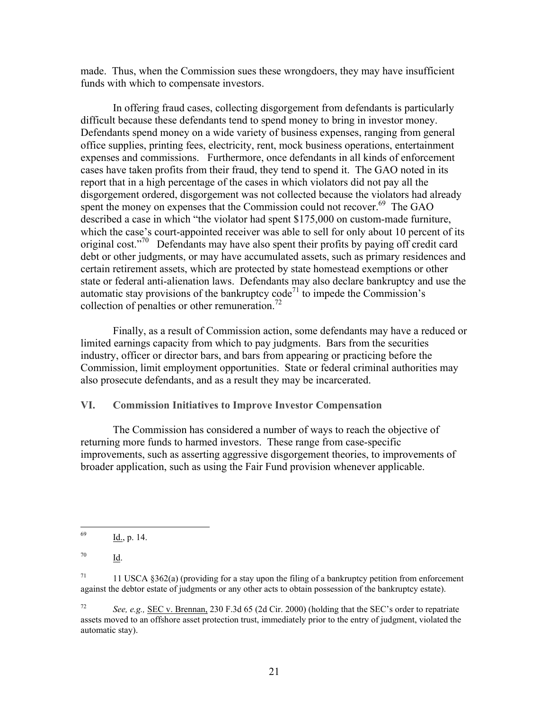made. Thus, when the Commission sues these wrongdoers, they may have insufficient funds with which to compensate investors.

In offering fraud cases, collecting disgorgement from defendants is particularly difficult because these defendants tend to spend money to bring in investor money. Defendants spend money on a wide variety of business expenses, ranging from general office supplies, printing fees, electricity, rent, mock business operations, entertainment expenses and commissions. Furthermore, once defendants in all kinds of enforcement cases have taken profits from their fraud, they tend to spend it. The GAO noted in its report that in a high percentage of the cases in which violators did not pay all the disgorgement ordered, disgorgement was not collected because the violators had already spent the money on expenses that the Commission could not recover.<sup>69</sup> The GAO described a case in which "the violator had spent \$175,000 on custom-made furniture, which the case's court-appointed receiver was able to sell for only about 10 percent of its original cost."[70](#page-23-1) Defendants may have also spent their profits by paying off credit card debt or other judgments, or may have accumulated assets, such as primary residences and certain retirement assets, which are protected by state homestead exemptions or other state or federal anti-alienation laws. Defendants may also declare bankruptcy and use the automatic stay provisions of the bankruptcy  $\text{code}^{71}$  to impede the Commission's collection of penalties or other remuneration.<sup>72</sup>

Finally, as a result of Commission action, some defendants may have a reduced or limited earnings capacity from which to pay judgments. Bars from the securities industry, officer or director bars, and bars from appearing or practicing before the Commission, limit employment opportunities. State or federal criminal authorities may also prosecute defendants, and as a result they may be incarcerated.

## **VI. Commission Initiatives to Improve Investor Compensation**

The Commission has considered a number of ways to reach the objective of returning more funds to harmed investors. These range from case-specific improvements, such as asserting aggressive disgorgement theories, to improvements of broader application, such as using the Fair Fund provision whenever applicable.

<span id="page-23-1"></span> $\frac{70}{\underline{Id}}$ .

<span id="page-23-0"></span><sup>69</sup>  $\underline{Id.}$ , p. 14.

<span id="page-23-2"></span><sup>&</sup>lt;sup>71</sup> 11 USCA §362(a) (providing for a stay upon the filing of a bankruptcy petition from enforcement against the debtor estate of judgments or any other acts to obtain possession of the bankruptcy estate).

<span id="page-23-3"></span><sup>72</sup> *See, e.g.,* SEC v. Brennan, 230 F.3d 65 (2d Cir. 2000) (holding that the SEC's order to repatriate assets moved to an offshore asset protection trust, immediately prior to the entry of judgment, violated the automatic stay).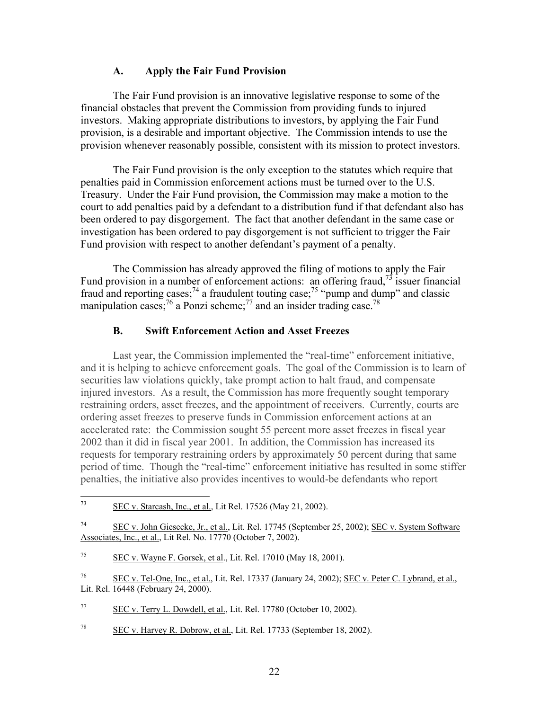## **A. Apply the Fair Fund Provision**

The Fair Fund provision is an innovative legislative response to some of the financial obstacles that prevent the Commission from providing funds to injured investors. Making appropriate distributions to investors, by applying the Fair Fund provision, is a desirable and important objective. The Commission intends to use the provision whenever reasonably possible, consistent with its mission to protect investors.

The Fair Fund provision is the only exception to the statutes which require that penalties paid in Commission enforcement actions must be turned over to the U.S. Treasury. Under the Fair Fund provision, the Commission may make a motion to the court to add penalties paid by a defendant to a distribution fund if that defendant also has been ordered to pay disgorgement. The fact that another defendant in the same case or investigation has been ordered to pay disgorgement is not sufficient to trigger the Fair Fund provision with respect to another defendant's payment of a penalty.

The Commission has already approved the filing of motions to apply the Fair Fund provision in a number of enforcement actions: an offering fraud,  $^{73}$  issuer financial fraud and reporting cases;<sup>74</sup> a fraudulent touting case;<sup>75</sup> "pump and dump" and classic manipulation cases;<sup>76</sup> a Ponzi scheme;<sup>77</sup> and an insider trading case.<sup>[78](#page-24-5)</sup>

## **B. Swift Enforcement Action and Asset Freezes**

Last year, the Commission implemented the "real-time" enforcement initiative, and it is helping to achieve enforcement goals. The goal of the Commission is to learn of securities law violations quickly, take prompt action to halt fraud, and compensate injured investors. As a result, the Commission has more frequently sought temporary restraining orders, asset freezes, and the appointment of receivers. Currently, courts are ordering asset freezes to preserve funds in Commission enforcement actions at an accelerated rate: the Commission sought 55 percent more asset freezes in fiscal year 2002 than it did in fiscal year 2001. In addition, the Commission has increased its requests for temporary restraining orders by approximately 50 percent during that same period of time. Though the "real-time" enforcement initiative has resulted in some stiffer penalties, the initiative also provides incentives to would-be defendants who report

<span id="page-24-5"></span> $78$  SEC v. Harvey R. Dobrow, et al., Lit. Rel. 17733 (September 18, 2002).

<span id="page-24-0"></span><sup>73</sup> SEC v. Starcash, Inc., et al., Lit Rel. 17526 (May 21, 2002).

<span id="page-24-1"></span><sup>74</sup> SEC v. John Giesecke, Jr., et al., Lit. Rel. 17745 (September 25, 2002); SEC v. System Software Associates, Inc., et al., Lit Rel. No. 17770 (October 7, 2002).

<span id="page-24-2"></span> $75$  SEC v. Wayne F. Gorsek, et al., Lit. Rel. 17010 (May 18, 2001).

<span id="page-24-3"></span><sup>76</sup> SEC v. Tel-One, Inc., et al., Lit. Rel. 17337 (January 24, 2002); SEC v. Peter C. Lybrand, et al., Lit. Rel. 16448 (February 24, 2000).

<span id="page-24-4"></span> $\frac{\text{SEC v. Terry L. Dowdell, et al., Lit. Rel. 17780 (October 10, 2002).}}{2}$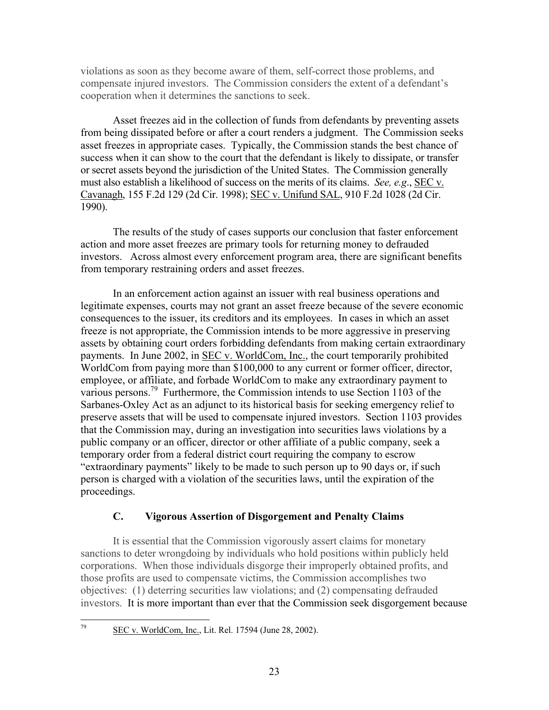violations as soon as they become aware of them, self-correct those problems, and compensate injured investors. The Commission considers the extent of a defendant's cooperation when it determines the sanctions to seek.

Asset freezes aid in the collection of funds from defendants by preventing assets from being dissipated before or after a court renders a judgment. The Commission seeks asset freezes in appropriate cases. Typically, the Commission stands the best chance of success when it can show to the court that the defendant is likely to dissipate, or transfer or secret assets beyond the jurisdiction of the United States. The Commission generally must also establish a likelihood of success on the merits of its claims. *See, e.g*., SEC v. Cavanagh, 155 F.2d 129 (2d Cir. 1998); SEC v. Unifund SAL, 910 F.2d 1028 (2d Cir. 1990).

The results of the study of cases supports our conclusion that faster enforcement action and more asset freezes are primary tools for returning money to defrauded investors. Across almost every enforcement program area, there are significant benefits from temporary restraining orders and asset freezes.

In an enforcement action against an issuer with real business operations and legitimate expenses, courts may not grant an asset freeze because of the severe economic consequences to the issuer, its creditors and its employees. In cases in which an asset freeze is not appropriate, the Commission intends to be more aggressive in preserving assets by obtaining court orders forbidding defendants from making certain extraordinary payments. In June 2002, in SEC v. WorldCom, Inc., the court temporarily prohibited WorldCom from paying more than \$100,000 to any current or former officer, director, employee, or affiliate, and forbade WorldCom to make any extraordinary payment to various persons.<sup>79</sup> Furthermore, the Commission intends to use Section 1103 of the Sarbanes-Oxley Act as an adjunct to its historical basis for seeking emergency relief to preserve assets that will be used to compensate injured investors. Section 1103 provides that the Commission may, during an investigation into securities laws violations by a public company or an officer, director or other affiliate of a public company, seek a temporary order from a federal district court requiring the company to escrow "extraordinary payments" likely to be made to such person up to 90 days or, if such person is charged with a violation of the securities laws, until the expiration of the proceedings.

# **C. Vigorous Assertion of Disgorgement and Penalty Claims**

It is essential that the Commission vigorously assert claims for monetary sanctions to deter wrongdoing by individuals who hold positions within publicly held corporations. When those individuals disgorge their improperly obtained profits, and those profits are used to compensate victims, the Commission accomplishes two objectives: (1) deterring securities law violations; and (2) compensating defrauded investors. It is more important than ever that the Commission seek disgorgement because

<span id="page-25-0"></span>79 SEC v. WorldCom, Inc., Lit. Rel. 17594 (June 28, 2002).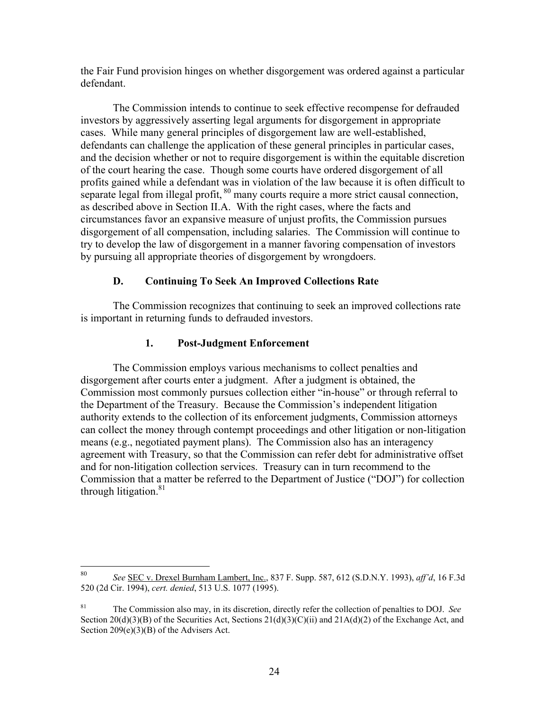the Fair Fund provision hinges on whether disgorgement was ordered against a particular defendant.

The Commission intends to continue to seek effective recompense for defrauded investors by aggressively asserting legal arguments for disgorgement in appropriate cases. While many general principles of disgorgement law are well-established, defendants can challenge the application of these general principles in particular cases, and the decision whether or not to require disgorgement is within the equitable discretion of the court hearing the case. Though some courts have ordered disgorgement of all profits gained while a defendant was in violation of the law because it is often difficult to separate legal from illegal profit,  $80$  many courts require a more strict causal connection, as described above in Section II.A. With the right cases, where the facts and circumstances favor an expansive measure of unjust profits, the Commission pursues disgorgement of all compensation, including salaries. The Commission will continue to try to develop the law of disgorgement in a manner favoring compensation of investors by pursuing all appropriate theories of disgorgement by wrongdoers.

# **D. Continuing To Seek An Improved Collections Rate**

The Commission recognizes that continuing to seek an improved collections rate is important in returning funds to defrauded investors.

# **1. Post-Judgment Enforcement**

The Commission employs various mechanisms to collect penalties and disgorgement after courts enter a judgment. After a judgment is obtained, the Commission most commonly pursues collection either "in-house" or through referral to the Department of the Treasury. Because the Commission's independent litigation authority extends to the collection of its enforcement judgments, Commission attorneys can collect the money through contempt proceedings and other litigation or non-litigation means (e.g., negotiated payment plans). The Commission also has an interagency agreement with Treasury, so that the Commission can refer debt for administrative offset and for non-litigation collection services. Treasury can in turn recommend to the Commission that a matter be referred to the Department of Justice ("DOJ") for collection through litigation.<sup>[81](#page-26-1)</sup>

<span id="page-26-0"></span><sup>80</sup> 80 *See* SEC v. Drexel Burnham Lambert, Inc., 837 F. Supp. 587, 612 (S.D.N.Y. 1993), *aff'd*, 16 F.3d 520 (2d Cir. 1994), *cert. denied*, 513 U.S. 1077 (1995).

<span id="page-26-1"></span><sup>81</sup> The Commission also may, in its discretion, directly refer the collection of penalties to DOJ. *See*  Section  $20(d)(3)(B)$  of the Securities Act, Sections  $21(d)(3)(C)(ii)$  and  $21A(d)(2)$  of the Exchange Act, and Section 209(e)(3)(B) of the Advisers Act.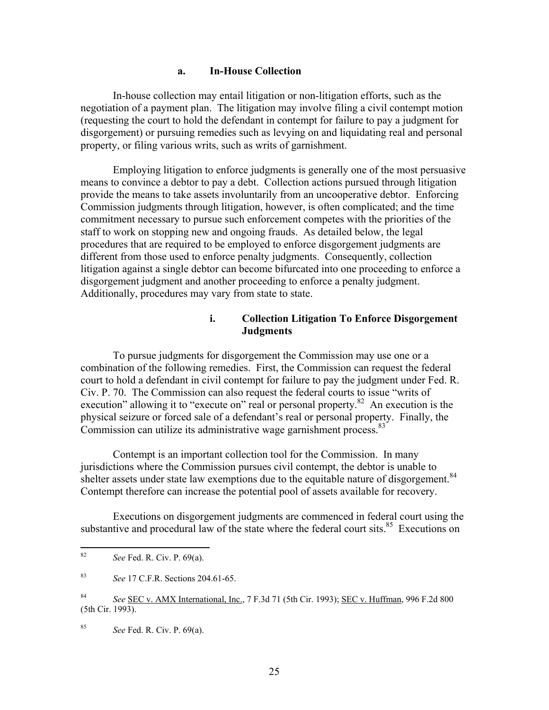#### **a. In-House Collection**

In-house collection may entail litigation or non-litigation efforts, such as the negotiation of a payment plan. The litigation may involve filing a civil contempt motion (requesting the court to hold the defendant in contempt for failure to pay a judgment for disgorgement) or pursuing remedies such as levying on and liquidating real and personal property, or filing various writs, such as writs of garnishment.

Employing litigation to enforce judgments is generally one of the most persuasive means to convince a debtor to pay a debt. Collection actions pursued through litigation provide the means to take assets involuntarily from an uncooperative debtor. Enforcing Commission judgments through litigation, however, is often complicated; and the time commitment necessary to pursue such enforcement competes with the priorities of the staff to work on stopping new and ongoing frauds. As detailed below, the legal procedures that are required to be employed to enforce disgorgement judgments are different from those used to enforce penalty judgments. Consequently, collection litigation against a single debtor can become bifurcated into one proceeding to enforce a disgorgement judgment and another proceeding to enforce a penalty judgment. Additionally, procedures may vary from state to state.

#### **i. Collection Litigation To Enforce Disgorgement Judgments**

To pursue judgments for disgorgement the Commission may use one or a combination of the following remedies. First, the Commission can request the federal court to hold a defendant in civil contempt for failure to pay the judgment under Fed. R. Civ. P. 70. The Commission can also request the federal courts to issue "writs of execution" allowing it to "execute on" real or personal property.<sup>82</sup> An execution is the physical seizure or forced sale of a defendant's real or personal property. Finally, the Commission can utilize its administrative wage garnishment process.<sup>83</sup>

Contempt is an important collection tool for the Commission. In many jurisdictions where the Commission pursues civil contempt, the debtor is unable to shelter assets under state law exemptions due to the equitable nature of disgorgement.<sup>84</sup> Contempt therefore can increase the potential pool of assets available for recovery.

Executions on disgorgement judgments are commenced in federal court using the substantive and procedural law of the state where the federal court sits.<sup>85</sup> Executions on

<span id="page-27-3"></span>85 *See* Fed. R. Civ. P. 69(a).

<span id="page-27-0"></span><sup>82</sup> 82 *See* Fed. R. Civ. P. 69(a).

<span id="page-27-1"></span><sup>83</sup> *See* 17 C.F.R. Sections 204.61-65.

<span id="page-27-2"></span><sup>84</sup> *See* SEC v. AMX International, Inc., 7 F.3d 71 (5th Cir. 1993); SEC v. Huffman, 996 F.2d 800 (5th Cir. 1993).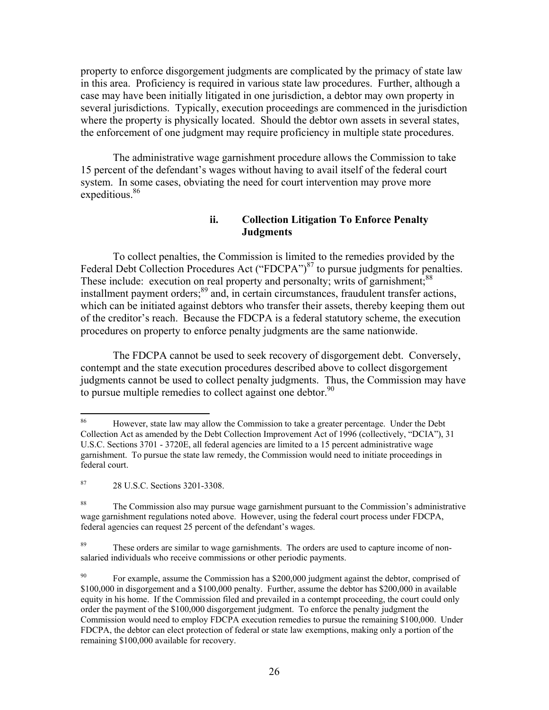property to enforce disgorgement judgments are complicated by the primacy of state law in this area. Proficiency is required in various state law procedures. Further, although a case may have been initially litigated in one jurisdiction, a debtor may own property in several jurisdictions. Typically, execution proceedings are commenced in the jurisdiction where the property is physically located. Should the debtor own assets in several states, the enforcement of one judgment may require proficiency in multiple state procedures.

The administrative wage garnishment procedure allows the Commission to take 15 percent of the defendant's wages without having to avail itself of the federal court system. In some cases, obviating the need for court intervention may prove more expeditious.<sup>[86](#page-28-0)</sup>

## **ii. Collection Litigation To Enforce Penalty Judgments**

To collect penalties, the Commission is limited to the remedies provided by the Federal Debt Collection Procedures Act ("FDCPA") $87$  to pursue judgments for penalties. These include: execution on real property and personalty; writs of garnishment;<sup>[88](#page-28-2)</sup> installment payment orders;<sup>89</sup> and, in certain circumstances, fraudulent transfer actions, which can be initiated against debtors who transfer their assets, thereby keeping them out of the creditor's reach. Because the FDCPA is a federal statutory scheme, the execution procedures on property to enforce penalty judgments are the same nationwide.

The FDCPA cannot be used to seek recovery of disgorgement debt. Conversely, contempt and the state execution procedures described above to collect disgorgement judgments cannot be used to collect penalty judgments. Thus, the Commission may have to pursue multiple remedies to collect against one debtor.<sup>90</sup>

<span id="page-28-0"></span><sup>86</sup> 86 However, state law may allow the Commission to take a greater percentage. Under the Debt Collection Act as amended by the Debt Collection Improvement Act of 1996 (collectively, "DCIA"), 31 U.S.C. Sections 3701 - 3720E, all federal agencies are limited to a 15 percent administrative wage garnishment. To pursue the state law remedy, the Commission would need to initiate proceedings in federal court.

<span id="page-28-1"></span><sup>87 28</sup> U.S.C. Sections 3201-3308.

<span id="page-28-2"></span><sup>&</sup>lt;sup>88</sup> The Commission also may pursue wage garnishment pursuant to the Commission's administrative wage garnishment regulations noted above. However, using the federal court process under FDCPA, federal agencies can request 25 percent of the defendant's wages.

<span id="page-28-3"></span><sup>&</sup>lt;sup>89</sup> These orders are similar to wage garnishments. The orders are used to capture income of nonsalaried individuals who receive commissions or other periodic payments.

<span id="page-28-4"></span><sup>&</sup>lt;sup>90</sup> For example, assume the Commission has a \$200,000 judgment against the debtor, comprised of \$100,000 in disgorgement and a \$100,000 penalty. Further, assume the debtor has \$200,000 in available equity in his home. If the Commission filed and prevailed in a contempt proceeding, the court could only order the payment of the \$100,000 disgorgement judgment. To enforce the penalty judgment the Commission would need to employ FDCPA execution remedies to pursue the remaining \$100,000. Under FDCPA, the debtor can elect protection of federal or state law exemptions, making only a portion of the remaining \$100,000 available for recovery.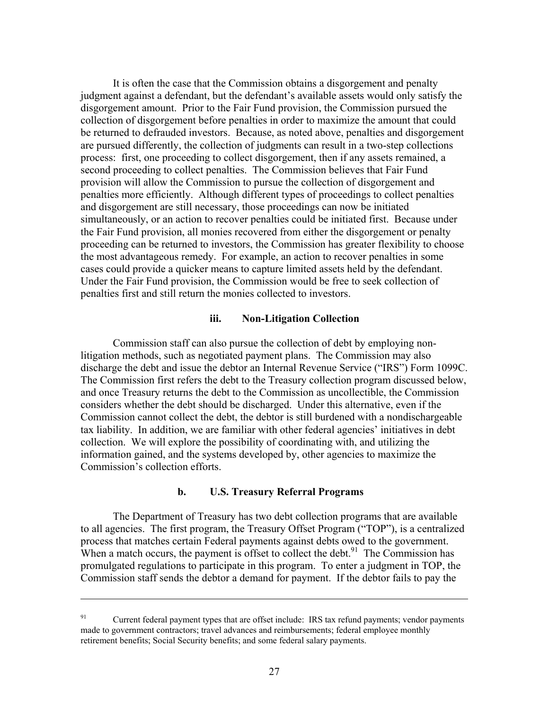It is often the case that the Commission obtains a disgorgement and penalty judgment against a defendant, but the defendant's available assets would only satisfy the disgorgement amount. Prior to the Fair Fund provision, the Commission pursued the collection of disgorgement before penalties in order to maximize the amount that could be returned to defrauded investors. Because, as noted above, penalties and disgorgement are pursued differently, the collection of judgments can result in a two-step collections process: first, one proceeding to collect disgorgement, then if any assets remained, a second proceeding to collect penalties. The Commission believes that Fair Fund provision will allow the Commission to pursue the collection of disgorgement and penalties more efficiently. Although different types of proceedings to collect penalties and disgorgement are still necessary, those proceedings can now be initiated simultaneously, or an action to recover penalties could be initiated first. Because under the Fair Fund provision, all monies recovered from either the disgorgement or penalty proceeding can be returned to investors, the Commission has greater flexibility to choose the most advantageous remedy. For example, an action to recover penalties in some cases could provide a quicker means to capture limited assets held by the defendant. Under the Fair Fund provision, the Commission would be free to seek collection of penalties first and still return the monies collected to investors.

#### **iii. Non-Litigation Collection**

Commission staff can also pursue the collection of debt by employing nonlitigation methods, such as negotiated payment plans. The Commission may also discharge the debt and issue the debtor an Internal Revenue Service ("IRS") Form 1099C. The Commission first refers the debt to the Treasury collection program discussed below, and once Treasury returns the debt to the Commission as uncollectible, the Commission considers whether the debt should be discharged. Under this alternative, even if the Commission cannot collect the debt, the debtor is still burdened with a nondischargeable tax liability. In addition, we are familiar with other federal agencies' initiatives in debt collection. We will explore the possibility of coordinating with, and utilizing the information gained, and the systems developed by, other agencies to maximize the Commission's collection efforts.

#### **b. U.S. Treasury Referral Programs**

The Department of Treasury has two debt collection programs that are available to all agencies. The first program, the Treasury Offset Program ("TOP"), is a centralized process that matches certain Federal payments against debts owed to the government. When a match occurs, the payment is offset to collect the debt. $91$  The Commission has promulgated regulations to participate in this program. To enter a judgment in TOP, the Commission staff sends the debtor a demand for payment. If the debtor fails to pay the

 $\overline{a}$ 

<span id="page-29-0"></span><sup>&</sup>lt;sup>91</sup> Current federal payment types that are offset include: IRS tax refund payments; vendor payments made to government contractors; travel advances and reimbursements; federal employee monthly retirement benefits; Social Security benefits; and some federal salary payments.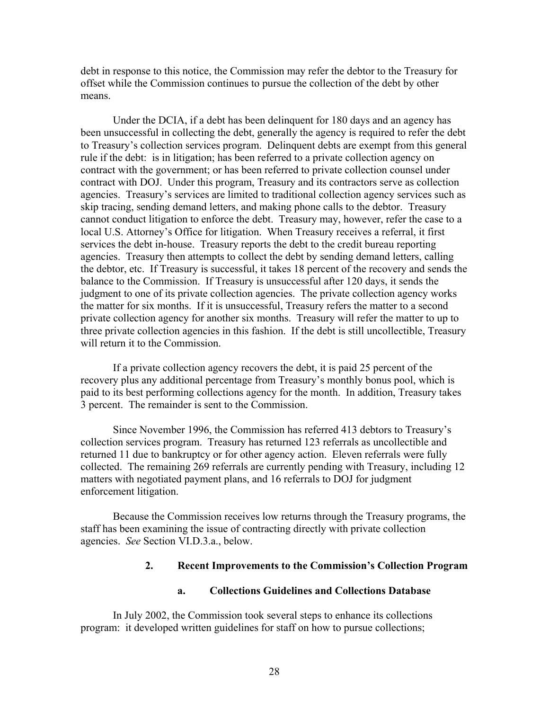debt in response to this notice, the Commission may refer the debtor to the Treasury for offset while the Commission continues to pursue the collection of the debt by other means.

Under the DCIA, if a debt has been delinquent for 180 days and an agency has been unsuccessful in collecting the debt, generally the agency is required to refer the debt to Treasury's collection services program. Delinquent debts are exempt from this general rule if the debt: is in litigation; has been referred to a private collection agency on contract with the government; or has been referred to private collection counsel under contract with DOJ. Under this program, Treasury and its contractors serve as collection agencies. Treasury's services are limited to traditional collection agency services such as skip tracing, sending demand letters, and making phone calls to the debtor. Treasury cannot conduct litigation to enforce the debt. Treasury may, however, refer the case to a local U.S. Attorney's Office for litigation. When Treasury receives a referral, it first services the debt in-house. Treasury reports the debt to the credit bureau reporting agencies. Treasury then attempts to collect the debt by sending demand letters, calling the debtor, etc. If Treasury is successful, it takes 18 percent of the recovery and sends the balance to the Commission. If Treasury is unsuccessful after 120 days, it sends the judgment to one of its private collection agencies. The private collection agency works the matter for six months. If it is unsuccessful, Treasury refers the matter to a second private collection agency for another six months. Treasury will refer the matter to up to three private collection agencies in this fashion. If the debt is still uncollectible, Treasury will return it to the Commission.

If a private collection agency recovers the debt, it is paid 25 percent of the recovery plus any additional percentage from Treasury's monthly bonus pool, which is paid to its best performing collections agency for the month. In addition, Treasury takes 3 percent. The remainder is sent to the Commission.

Since November 1996, the Commission has referred 413 debtors to Treasury's collection services program. Treasury has returned 123 referrals as uncollectible and returned 11 due to bankruptcy or for other agency action. Eleven referrals were fully collected. The remaining 269 referrals are currently pending with Treasury, including 12 matters with negotiated payment plans, and 16 referrals to DOJ for judgment enforcement litigation.

Because the Commission receives low returns through the Treasury programs, the staff has been examining the issue of contracting directly with private collection agencies. *See* Section VI.D.3.a., below.

#### **2. Recent Improvements to the Commission's Collection Program**

#### **a. Collections Guidelines and Collections Database**

In July 2002, the Commission took several steps to enhance its collections program: it developed written guidelines for staff on how to pursue collections;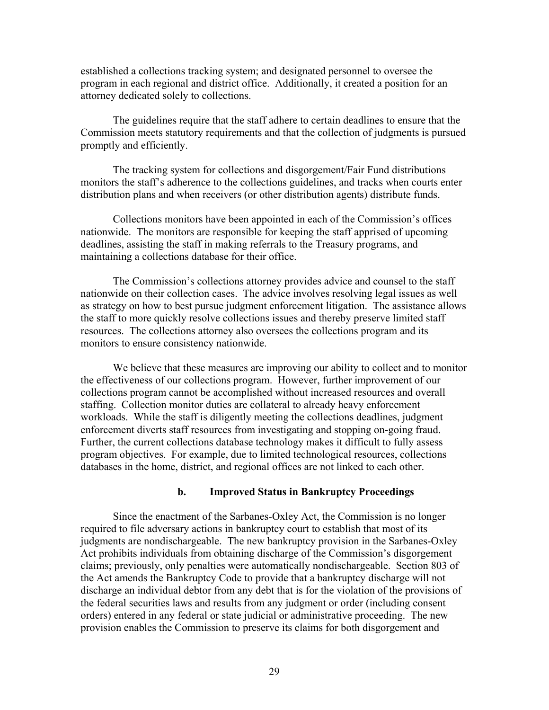established a collections tracking system; and designated personnel to oversee the program in each regional and district office. Additionally, it created a position for an attorney dedicated solely to collections.

The guidelines require that the staff adhere to certain deadlines to ensure that the Commission meets statutory requirements and that the collection of judgments is pursued promptly and efficiently.

The tracking system for collections and disgorgement/Fair Fund distributions monitors the staff's adherence to the collections guidelines, and tracks when courts enter distribution plans and when receivers (or other distribution agents) distribute funds.

Collections monitors have been appointed in each of the Commission's offices nationwide. The monitors are responsible for keeping the staff apprised of upcoming deadlines, assisting the staff in making referrals to the Treasury programs, and maintaining a collections database for their office.

The Commission's collections attorney provides advice and counsel to the staff nationwide on their collection cases. The advice involves resolving legal issues as well as strategy on how to best pursue judgment enforcement litigation. The assistance allows the staff to more quickly resolve collections issues and thereby preserve limited staff resources. The collections attorney also oversees the collections program and its monitors to ensure consistency nationwide.

We believe that these measures are improving our ability to collect and to monitor the effectiveness of our collections program. However, further improvement of our collections program cannot be accomplished without increased resources and overall staffing. Collection monitor duties are collateral to already heavy enforcement workloads. While the staff is diligently meeting the collections deadlines, judgment enforcement diverts staff resources from investigating and stopping on-going fraud. Further, the current collections database technology makes it difficult to fully assess program objectives. For example, due to limited technological resources, collections databases in the home, district, and regional offices are not linked to each other.

#### **b. Improved Status in Bankruptcy Proceedings**

Since the enactment of the Sarbanes-Oxley Act, the Commission is no longer required to file adversary actions in bankruptcy court to establish that most of its judgments are nondischargeable. The new bankruptcy provision in the Sarbanes-Oxley Act prohibits individuals from obtaining discharge of the Commission's disgorgement claims; previously, only penalties were automatically nondischargeable. Section 803 of the Act amends the Bankruptcy Code to provide that a bankruptcy discharge will not discharge an individual debtor from any debt that is for the violation of the provisions of the federal securities laws and results from any judgment or order (including consent orders) entered in any federal or state judicial or administrative proceeding. The new provision enables the Commission to preserve its claims for both disgorgement and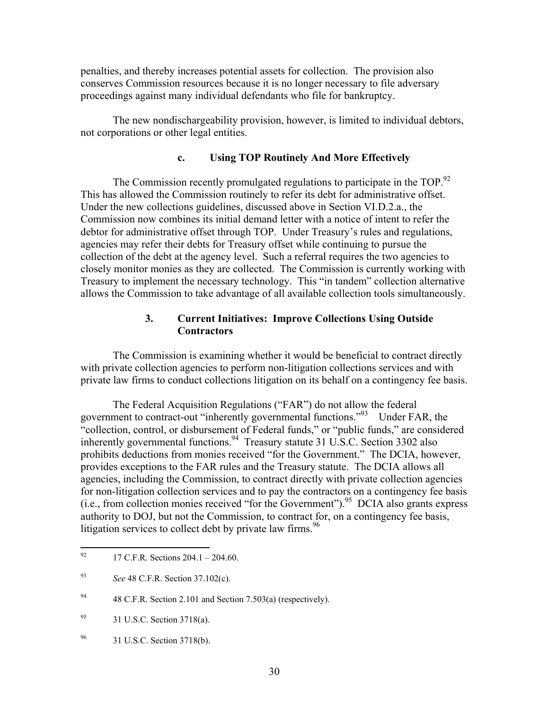penalties, and thereby increases potential assets for collection. The provision also conserves Commission resources because it is no longer necessary to file adversary proceedings against many individual defendants who file for bankruptcy.

The new nondischargeability provision, however, is limited to individual debtors, not corporations or other legal entities.

## **c. Using TOP Routinely And More Effectively**

The Commission recently promulgated regulations to participate in the TOP.<sup>92</sup> This has allowed the Commission routinely to refer its debt for administrative offset. Under the new collections guidelines, discussed above in Section VI.D.2.a., the Commission now combines its initial demand letter with a notice of intent to refer the debtor for administrative offset through TOP. Under Treasury's rules and regulations, agencies may refer their debts for Treasury offset while continuing to pursue the collection of the debt at the agency level. Such a referral requires the two agencies to closely monitor monies as they are collected. The Commission is currently working with Treasury to implement the necessary technology. This "in tandem" collection alternative allows the Commission to take advantage of all available collection tools simultaneously.

#### **3. Current Initiatives: Improve Collections Using Outside Contractors**

The Commission is examining whether it would be beneficial to contract directly with private collection agencies to perform non-litigation collections services and with private law firms to conduct collections litigation on its behalf on a contingency fee basis.

The Federal Acquisition Regulations ("FAR") do not allow the federal government to contract-out "inherently governmental functions."[93](#page-32-1) Under FAR, the "collection, control, or disbursement of Federal funds," or "public funds," are considered inherently governmental functions.<sup>94</sup> Treasury statute 31 U.S.C. Section 3302 also prohibits deductions from monies received "for the Government." The DCIA, however, provides exceptions to the FAR rules and the Treasury statute. The DCIA allows all agencies, including the Commission, to contract directly with private collection agencies for non-litigation collection services and to pay the contractors on a contingency fee basis (i.e., from collection monies received "for the Government"). <sup>95</sup> DCIA also grants express authority to DOJ, but not the Commission, to contract for, on a contingency fee basis, litigation services to collect debt by private law firms.  $96$ 

<span id="page-32-0"></span><sup>92</sup> 92 17 C.F.R. Sections 204.1 – 204.60.

<span id="page-32-1"></span><sup>93</sup> *See* 48 C.F.R. Section 37.102(c).

<span id="page-32-2"></span><sup>&</sup>lt;sup>94</sup> 48 C.F.R. Section 2.101 and Section 7.503(a) (respectively).

<span id="page-32-3"></span><sup>95 31</sup> U.S.C. Section 3718(a).

<span id="page-32-4"></span><sup>96 31</sup> U.S.C. Section 3718(b).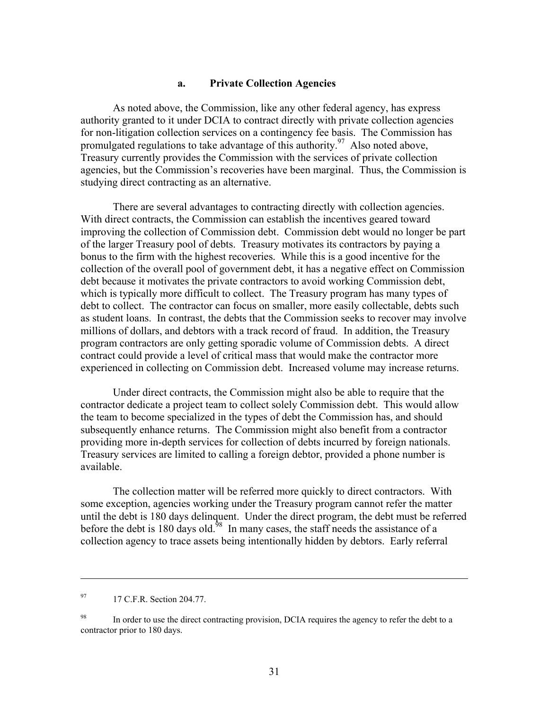#### **a. Private Collection Agencies**

As noted above, the Commission, like any other federal agency, has express authority granted to it under DCIA to contract directly with private collection agencies for non-litigation collection services on a contingency fee basis. The Commission has promulgated regulations to take advantage of this authority.<sup>97</sup> Also noted above, Treasury currently provides the Commission with the services of private collection agencies, but the Commission's recoveries have been marginal. Thus, the Commission is studying direct contracting as an alternative.

There are several advantages to contracting directly with collection agencies. With direct contracts, the Commission can establish the incentives geared toward improving the collection of Commission debt. Commission debt would no longer be part of the larger Treasury pool of debts. Treasury motivates its contractors by paying a bonus to the firm with the highest recoveries. While this is a good incentive for the collection of the overall pool of government debt, it has a negative effect on Commission debt because it motivates the private contractors to avoid working Commission debt, which is typically more difficult to collect. The Treasury program has many types of debt to collect. The contractor can focus on smaller, more easily collectable, debts such as student loans. In contrast, the debts that the Commission seeks to recover may involve millions of dollars, and debtors with a track record of fraud. In addition, the Treasury program contractors are only getting sporadic volume of Commission debts. A direct contract could provide a level of critical mass that would make the contractor more experienced in collecting on Commission debt. Increased volume may increase returns.

Under direct contracts, the Commission might also be able to require that the contractor dedicate a project team to collect solely Commission debt. This would allow the team to become specialized in the types of debt the Commission has, and should subsequently enhance returns. The Commission might also benefit from a contractor providing more in-depth services for collection of debts incurred by foreign nationals. Treasury services are limited to calling a foreign debtor, provided a phone number is available.

The collection matter will be referred more quickly to direct contractors. With some exception, agencies working under the Treasury program cannot refer the matter until the debt is 180 days delinquent. Under the direct program, the debt must be referred before the debt is 180 days old.<sup>98</sup> In many cases, the staff needs the assistance of a collection agency to trace assets being intentionally hidden by debtors. Early referral

 $\overline{a}$ 

<span id="page-33-0"></span><sup>97 17</sup> C.F.R. Section 204.77.

<span id="page-33-1"></span><sup>&</sup>lt;sup>98</sup> In order to use the direct contracting provision, DCIA requires the agency to refer the debt to a contractor prior to 180 days.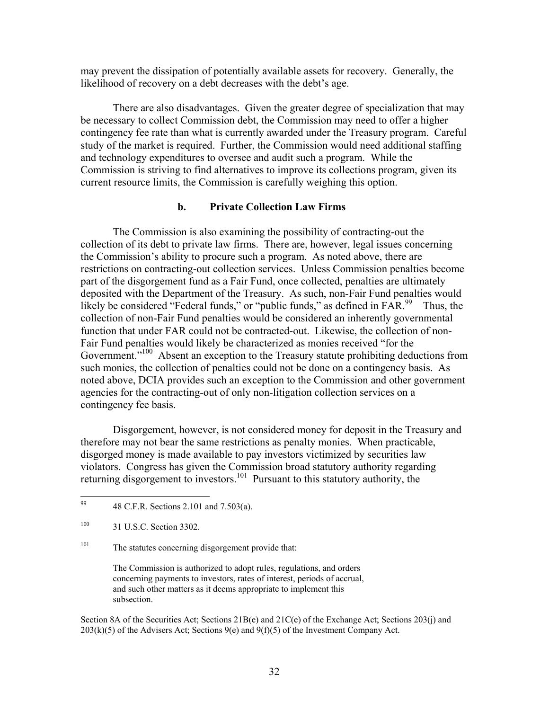may prevent the dissipation of potentially available assets for recovery. Generally, the likelihood of recovery on a debt decreases with the debt's age.

There are also disadvantages. Given the greater degree of specialization that may be necessary to collect Commission debt, the Commission may need to offer a higher contingency fee rate than what is currently awarded under the Treasury program. Careful study of the market is required. Further, the Commission would need additional staffing and technology expenditures to oversee and audit such a program. While the Commission is striving to find alternatives to improve its collections program, given its current resource limits, the Commission is carefully weighing this option.

### **b. Private Collection Law Firms**

The Commission is also examining the possibility of contracting-out the collection of its debt to private law firms. There are, however, legal issues concerning the Commission's ability to procure such a program. As noted above, there are restrictions on contracting-out collection services. Unless Commission penalties become part of the disgorgement fund as a Fair Fund, once collected, penalties are ultimately deposited with the Department of the Treasury. As such, non-Fair Fund penalties would likely be considered "Federal funds," or "public funds," as defined in FAR.<sup>99</sup> Thus, the collection of non-Fair Fund penalties would be considered an inherently governmental function that under FAR could not be contracted-out. Likewise, the collection of non-Fair Fund penalties would likely be characterized as monies received "for the Government.<sup>"100</sup> Absent an exception to the Treasury statute prohibiting deductions from such monies, the collection of penalties could not be done on a contingency basis. As noted above, DCIA provides such an exception to the Commission and other government agencies for the contracting-out of only non-litigation collection services on a contingency fee basis.

Disgorgement, however, is not considered money for deposit in the Treasury and therefore may not bear the same restrictions as penalty monies. When practicable, disgorged money is made available to pay investors victimized by securities law violators. Congress has given the Commission broad statutory authority regarding returning disgorgement to investors[.101](#page-34-2) Pursuant to this statutory authority, the

<span id="page-34-2"></span><sup>101</sup> The statutes concerning disgorgement provide that:

The Commission is authorized to adopt rules, regulations, and orders concerning payments to investors, rates of interest, periods of accrual, and such other matters as it deems appropriate to implement this subsection.

Section 8A of the Securities Act; Sections 21B(e) and 21C(e) of the Exchange Act; Sections 203(j) and  $203(k)(5)$  of the Advisers Act; Sections 9(e) and 9(f)(5) of the Investment Company Act.

<span id="page-34-0"></span><sup>99</sup> 99 48 C.F.R. Sections 2.101 and 7.503(a).

<span id="page-34-1"></span><sup>100 31</sup> U.S.C. Section 3302.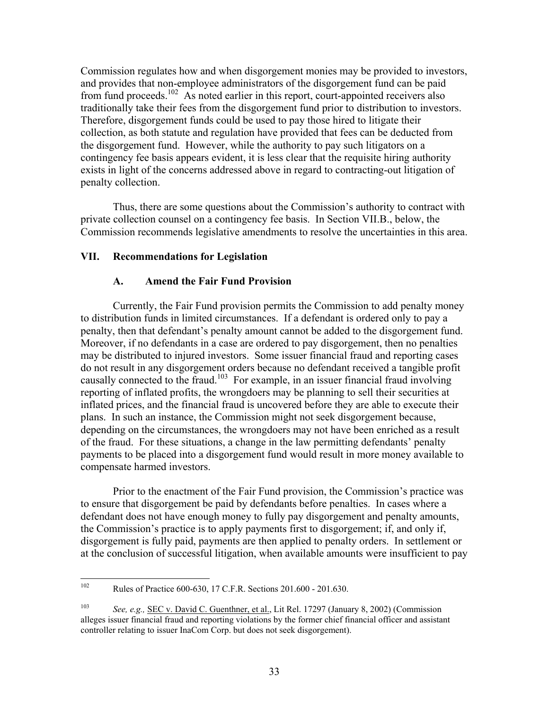Commission regulates how and when disgorgement monies may be provided to investors, and provides that non-employee administrators of the disgorgement fund can be paid from fund proceeds[.102](#page-35-0) As noted earlier in this report, court-appointed receivers also traditionally take their fees from the disgorgement fund prior to distribution to investors. Therefore, disgorgement funds could be used to pay those hired to litigate their collection, as both statute and regulation have provided that fees can be deducted from the disgorgement fund. However, while the authority to pay such litigators on a contingency fee basis appears evident, it is less clear that the requisite hiring authority exists in light of the concerns addressed above in regard to contracting-out litigation of penalty collection.

Thus, there are some questions about the Commission's authority to contract with private collection counsel on a contingency fee basis. In Section VII.B., below, the Commission recommends legislative amendments to resolve the uncertainties in this area.

## **VII. Recommendations for Legislation**

#### **A. Amend the Fair Fund Provision**

Currently, the Fair Fund provision permits the Commission to add penalty money to distribution funds in limited circumstances. If a defendant is ordered only to pay a penalty, then that defendant's penalty amount cannot be added to the disgorgement fund. Moreover, if no defendants in a case are ordered to pay disgorgement, then no penalties may be distributed to injured investors. Some issuer financial fraud and reporting cases do not result in any disgorgement orders because no defendant received a tangible profit causally connected to the fraud.<sup>103</sup> For example, in an issuer financial fraud involving reporting of inflated profits, the wrongdoers may be planning to sell their securities at inflated prices, and the financial fraud is uncovered before they are able to execute their plans. In such an instance, the Commission might not seek disgorgement because, depending on the circumstances, the wrongdoers may not have been enriched as a result of the fraud. For these situations, a change in the law permitting defendants' penalty payments to be placed into a disgorgement fund would result in more money available to compensate harmed investors.

Prior to the enactment of the Fair Fund provision, the Commission's practice was to ensure that disgorgement be paid by defendants before penalties. In cases where a defendant does not have enough money to fully pay disgorgement and penalty amounts, the Commission's practice is to apply payments first to disgorgement; if, and only if, disgorgement is fully paid, payments are then applied to penalty orders. In settlement or at the conclusion of successful litigation, when available amounts were insufficient to pay

<span id="page-35-0"></span><sup>102</sup> 102 Rules of Practice 600-630, 17 C.F.R. Sections 201.600 - 201.630.

<span id="page-35-1"></span><sup>103</sup> *See, e.g.,* SEC v. David C. Guenthner, et al., Lit Rel. 17297 (January 8, 2002) (Commission alleges issuer financial fraud and reporting violations by the former chief financial officer and assistant controller relating to issuer InaCom Corp. but does not seek disgorgement).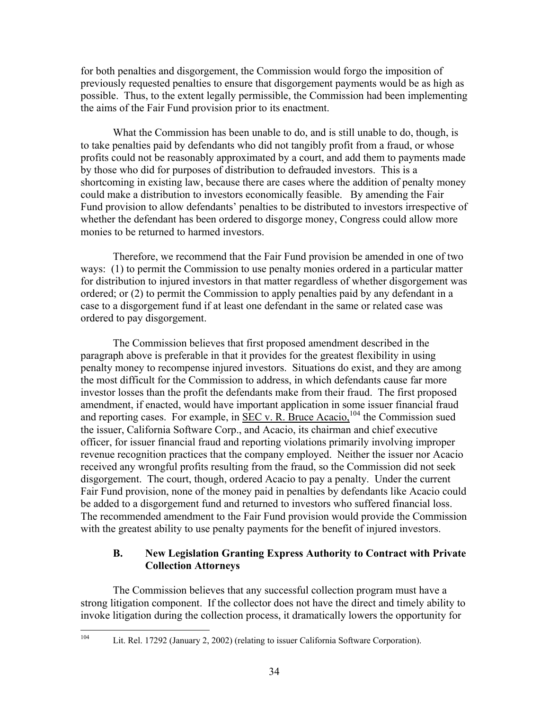for both penalties and disgorgement, the Commission would forgo the imposition of previously requested penalties to ensure that disgorgement payments would be as high as possible. Thus, to the extent legally permissible, the Commission had been implementing the aims of the Fair Fund provision prior to its enactment.

What the Commission has been unable to do, and is still unable to do, though, is to take penalties paid by defendants who did not tangibly profit from a fraud, or whose profits could not be reasonably approximated by a court, and add them to payments made by those who did for purposes of distribution to defrauded investors. This is a shortcoming in existing law, because there are cases where the addition of penalty money could make a distribution to investors economically feasible. By amending the Fair Fund provision to allow defendants' penalties to be distributed to investors irrespective of whether the defendant has been ordered to disgorge money, Congress could allow more monies to be returned to harmed investors.

Therefore, we recommend that the Fair Fund provision be amended in one of two ways: (1) to permit the Commission to use penalty monies ordered in a particular matter for distribution to injured investors in that matter regardless of whether disgorgement was ordered; or (2) to permit the Commission to apply penalties paid by any defendant in a case to a disgorgement fund if at least one defendant in the same or related case was ordered to pay disgorgement.

The Commission believes that first proposed amendment described in the paragraph above is preferable in that it provides for the greatest flexibility in using penalty money to recompense injured investors. Situations do exist, and they are among the most difficult for the Commission to address, in which defendants cause far more investor losses than the profit the defendants make from their fraud. The first proposed amendment, if enacted, would have important application in some issuer financial fraud and reporting cases. For example, in  $\overline{\text{SEC v. R. Bruce Accio}^{104}}$  the Commission sued the issuer, California Software Corp., and Acacio, its chairman and chief executive officer, for issuer financial fraud and reporting violations primarily involving improper revenue recognition practices that the company employed. Neither the issuer nor Acacio received any wrongful profits resulting from the fraud, so the Commission did not seek disgorgement. The court, though, ordered Acacio to pay a penalty. Under the current Fair Fund provision, none of the money paid in penalties by defendants like Acacio could be added to a disgorgement fund and returned to investors who suffered financial loss. The recommended amendment to the Fair Fund provision would provide the Commission with the greatest ability to use penalty payments for the benefit of injured investors.

# **B. New Legislation Granting Express Authority to Contract with Private Collection Attorneys**

The Commission believes that any successful collection program must have a strong litigation component. If the collector does not have the direct and timely ability to invoke litigation during the collection process, it dramatically lowers the opportunity for

<span id="page-36-0"></span>104

Lit. Rel. 17292 (January 2, 2002) (relating to issuer California Software Corporation).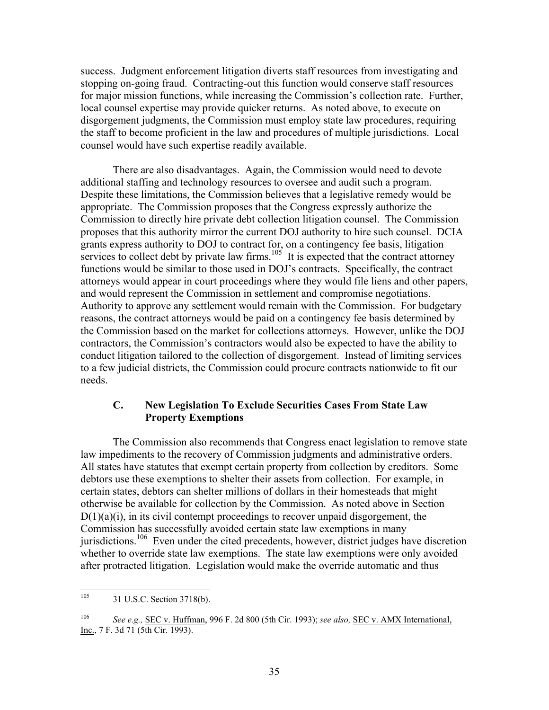success. Judgment enforcement litigation diverts staff resources from investigating and stopping on-going fraud. Contracting-out this function would conserve staff resources for major mission functions, while increasing the Commission's collection rate. Further, local counsel expertise may provide quicker returns. As noted above, to execute on disgorgement judgments, the Commission must employ state law procedures, requiring the staff to become proficient in the law and procedures of multiple jurisdictions. Local counsel would have such expertise readily available.

There are also disadvantages. Again, the Commission would need to devote additional staffing and technology resources to oversee and audit such a program. Despite these limitations, the Commission believes that a legislative remedy would be appropriate. The Commission proposes that the Congress expressly authorize the Commission to directly hire private debt collection litigation counsel. The Commission proposes that this authority mirror the current DOJ authority to hire such counsel. DCIA grants express authority to DOJ to contract for, on a contingency fee basis, litigation services to collect debt by private law firms.<sup>105</sup> It is expected that the contract attorney functions would be similar to those used in DOJ's contracts. Specifically, the contract attorneys would appear in court proceedings where they would file liens and other papers, and would represent the Commission in settlement and compromise negotiations. Authority to approve any settlement would remain with the Commission. For budgetary reasons, the contract attorneys would be paid on a contingency fee basis determined by the Commission based on the market for collections attorneys. However, unlike the DOJ contractors, the Commission's contractors would also be expected to have the ability to conduct litigation tailored to the collection of disgorgement. Instead of limiting services to a few judicial districts, the Commission could procure contracts nationwide to fit our needs.

## **C. New Legislation To Exclude Securities Cases From State Law Property Exemptions**

The Commission also recommends that Congress enact legislation to remove state law impediments to the recovery of Commission judgments and administrative orders. All states have statutes that exempt certain property from collection by creditors. Some debtors use these exemptions to shelter their assets from collection. For example, in certain states, debtors can shelter millions of dollars in their homesteads that might otherwise be available for collection by the Commission. As noted above in Section  $D(1)(a)(i)$ , in its civil contempt proceedings to recover unpaid disgorgement, the Commission has successfully avoided certain state law exemptions in many jurisdictions.<sup>106</sup> Even under the cited precedents, however, district judges have discretion whether to override state law exemptions. The state law exemptions were only avoided after protracted litigation. Legislation would make the override automatic and thus

<span id="page-37-0"></span><sup>105</sup> 31 U.S.C. Section 3718(b).

<span id="page-37-1"></span><sup>106</sup> *See e.g.,* SEC v. Huffman, 996 F. 2d 800 (5th Cir. 1993); *see also,* SEC v. AMX International, Inc., 7 F. 3d 71 (5th Cir. 1993).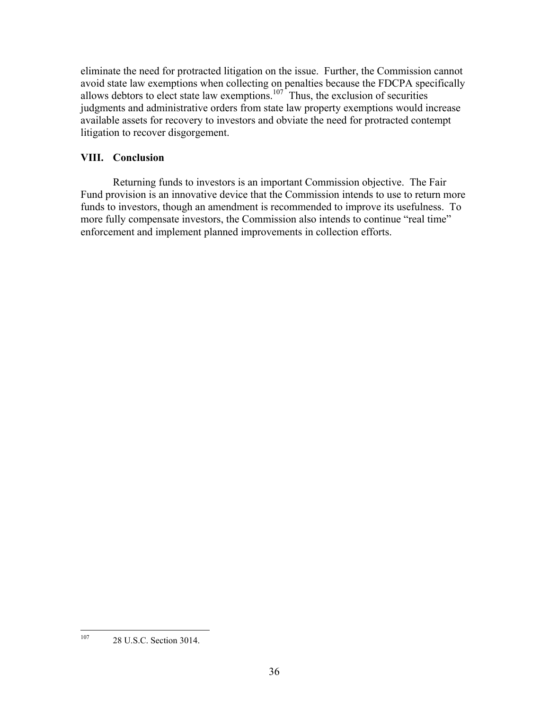eliminate the need for protracted litigation on the issue. Further, the Commission cannot avoid state law exemptions when collecting on penalties because the FDCPA specifically allows debtors to elect state law exemptions.<sup>107</sup> Thus, the exclusion of securities judgments and administrative orders from state law property exemptions would increase available assets for recovery to investors and obviate the need for protracted contempt litigation to recover disgorgement.

# **VIII. Conclusion**

Returning funds to investors is an important Commission objective. The Fair Fund provision is an innovative device that the Commission intends to use to return more funds to investors, though an amendment is recommended to improve its usefulness. To more fully compensate investors, the Commission also intends to continue "real time" enforcement and implement planned improvements in collection efforts.

<span id="page-38-0"></span><sup>107</sup> 28 U.S.C. Section 3014.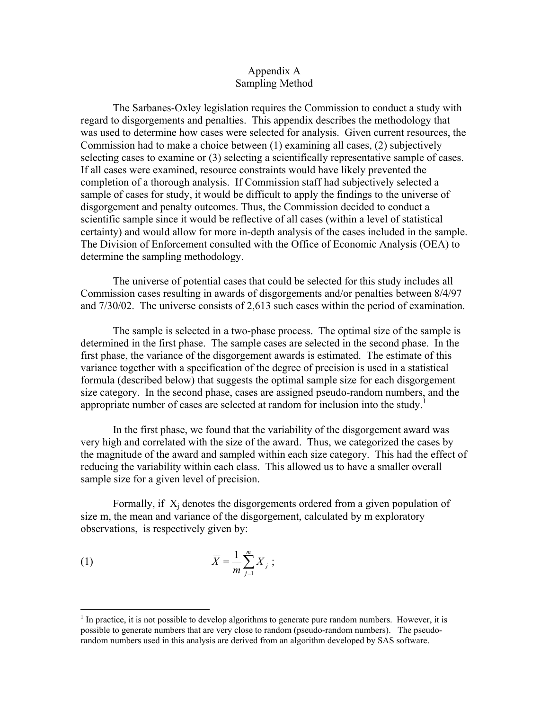### Appendix A Sampling Method

The Sarbanes-Oxley legislation requires the Commission to conduct a study with regard to disgorgements and penalties. This appendix describes the methodology that was used to determine how cases were selected for analysis. Given current resources, the Commission had to make a choice between (1) examining all cases, (2) subjectively selecting cases to examine or (3) selecting a scientifically representative sample of cases. If all cases were examined, resource constraints would have likely prevented the completion of a thorough analysis. If Commission staff had subjectively selected a sample of cases for study, it would be difficult to apply the findings to the universe of disgorgement and penalty outcomes. Thus, the Commission decided to conduct a scientific sample since it would be reflective of all cases (within a level of statistical certainty) and would allow for more in-depth analysis of the cases included in the sample. The Division of Enforcement consulted with the Office of Economic Analysis (OEA) to determine the sampling methodology.

The universe of potential cases that could be selected for this study includes all Commission cases resulting in awards of disgorgements and/or penalties between 8/4/97 and 7/30/02. The universe consists of 2,613 such cases within the period of examination.

The sample is selected in a two-phase process. The optimal size of the sample is determined in the first phase. The sample cases are selected in the second phase. In the first phase, the variance of the disgorgement awards is estimated. The estimate of this variance together with a specification of the degree of precision is used in a statistical formula (described below) that suggests the optimal sample size for each disgorgement size category. In the second phase, cases are assigned pseudo-random numbers, and the appropriate number of cases are selected at random for inclusion into the study.<sup>[1](#page-39-0)</sup>

In the first phase, we found that the variability of the disgorgement award was very high and correlated with the size of the award. Thus, we categorized the cases by the magnitude of the award and sampled within each size category. This had the effect of reducing the variability within each class. This allowed us to have a smaller overall sample size for a given level of precision.

Formally, if  $X_i$  denotes the disgorgements ordered from a given population of size m, the mean and variance of the disgorgement, calculated by m exploratory observations, is respectively given by:

$$
\overline{X} = \frac{1}{m} \sum_{j=1}^{m} X_j ;
$$

 $\overline{a}$ 

<span id="page-39-0"></span> $<sup>1</sup>$  In practice, it is not possible to develop algorithms to generate pure random numbers. However, it is</sup> possible to generate numbers that are very close to random (pseudo-random numbers). The pseudorandom numbers used in this analysis are derived from an algorithm developed by SAS software.